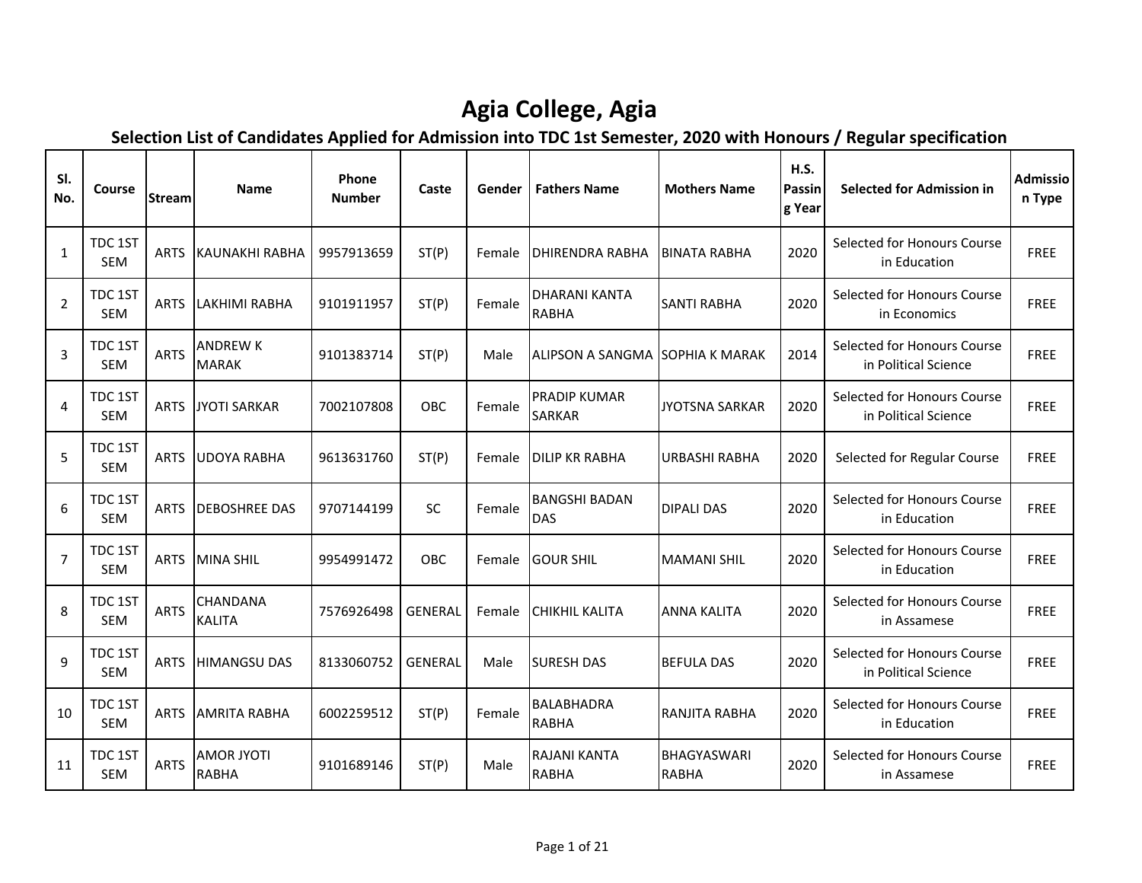| SI.<br>No.     | Course                | <b>Stream</b> | <b>Name</b>                       | Phone<br><b>Number</b> | Caste      | Gender | <b>Fathers Name</b>                  | <b>Mothers Name</b>                | H.S.<br>Passin<br>g Year | <b>Selected for Admission in</b>                    | <b>Admissio</b><br>n Type |
|----------------|-----------------------|---------------|-----------------------------------|------------------------|------------|--------|--------------------------------------|------------------------------------|--------------------------|-----------------------------------------------------|---------------------------|
| $\mathbf{1}$   | TDC 1ST<br><b>SEM</b> | <b>ARTS</b>   | <b>KAUNAKHI RABHA</b>             | 9957913659             | ST(P)      | Female | <b>DHIRENDRA RABHA</b>               | <b>BINATA RABHA</b>                | 2020                     | Selected for Honours Course<br>in Education         | <b>FREE</b>               |
| 2              | TDC 1ST<br><b>SEM</b> | <b>ARTS</b>   | LAKHIMI RABHA                     | 9101911957             | ST(P)      | Female | <b>DHARANI KANTA</b><br><b>RABHA</b> | <b>SANTI RABHA</b>                 | 2020                     | Selected for Honours Course<br>in Economics         | <b>FREE</b>               |
| 3              | TDC 1ST<br><b>SEM</b> | <b>ARTS</b>   | <b>ANDREW K</b><br><b>MARAK</b>   | 9101383714             | ST(P)      | Male   | ALIPSON A SANGMA ISOPHIA K MARAK     |                                    | 2014                     | Selected for Honours Course<br>in Political Science | <b>FREE</b>               |
| 4              | TDC 1ST<br><b>SEM</b> | <b>ARTS</b>   | <b>JYOTI SARKAR</b>               | 7002107808             | OBC        | Female | <b>PRADIP KUMAR</b><br><b>SARKAR</b> | <b>JYOTSNA SARKAR</b>              | 2020                     | Selected for Honours Course<br>in Political Science | <b>FREE</b>               |
| 5              | TDC 1ST<br><b>SEM</b> | <b>ARTS</b>   | <b>UDOYA RABHA</b>                | 9613631760             | ST(P)      | Female | <b>DILIP KR RABHA</b>                | <b>URBASHI RABHA</b>               | 2020                     | Selected for Regular Course                         | <b>FREE</b>               |
| 6              | TDC 1ST<br><b>SEM</b> | <b>ARTS</b>   | <b>DEBOSHREE DAS</b>              | 9707144199             | <b>SC</b>  | Female | <b>BANGSHI BADAN</b><br><b>DAS</b>   | <b>DIPALI DAS</b>                  | 2020                     | Selected for Honours Course<br>in Education         | <b>FREE</b>               |
| $\overline{7}$ | TDC 1ST<br><b>SEM</b> | <b>ARTS</b>   | <b>MINA SHIL</b>                  | 9954991472             | <b>OBC</b> | Female | <b>GOUR SHIL</b>                     | <b>MAMANI SHIL</b>                 | 2020                     | Selected for Honours Course<br>in Education         | <b>FREE</b>               |
| 8              | TDC 1ST<br><b>SEM</b> | <b>ARTS</b>   | <b>CHANDANA</b><br><b>KALITA</b>  | 7576926498             | GENERAL    | Female | <b>CHIKHIL KALITA</b>                | <b>ANNA KALITA</b>                 | 2020                     | Selected for Honours Course<br>in Assamese          | <b>FREE</b>               |
| 9              | TDC 1ST<br><b>SEM</b> | <b>ARTS</b>   | <b>HIMANGSU DAS</b>               | 8133060752             | GENERAL    | Male   | <b>SURESH DAS</b>                    | <b>BEFULA DAS</b>                  | 2020                     | Selected for Honours Course<br>in Political Science | <b>FREE</b>               |
| 10             | TDC 1ST<br><b>SEM</b> | <b>ARTS</b>   | <b>AMRITA RABHA</b>               | 6002259512             | ST(P)      | Female | <b>BALABHADRA</b><br><b>RABHA</b>    | <b>RANJITA RABHA</b>               | 2020                     | Selected for Honours Course<br>in Education         | <b>FREE</b>               |
| 11             | TDC 1ST<br><b>SEM</b> | <b>ARTS</b>   | <b>AMOR JYOTI</b><br><b>RABHA</b> | 9101689146             | ST(P)      | Male   | <b>RAJANI KANTA</b><br><b>RABHA</b>  | <b>BHAGYASWARI</b><br><b>RABHA</b> | 2020                     | Selected for Honours Course<br>in Assamese          | <b>FREE</b>               |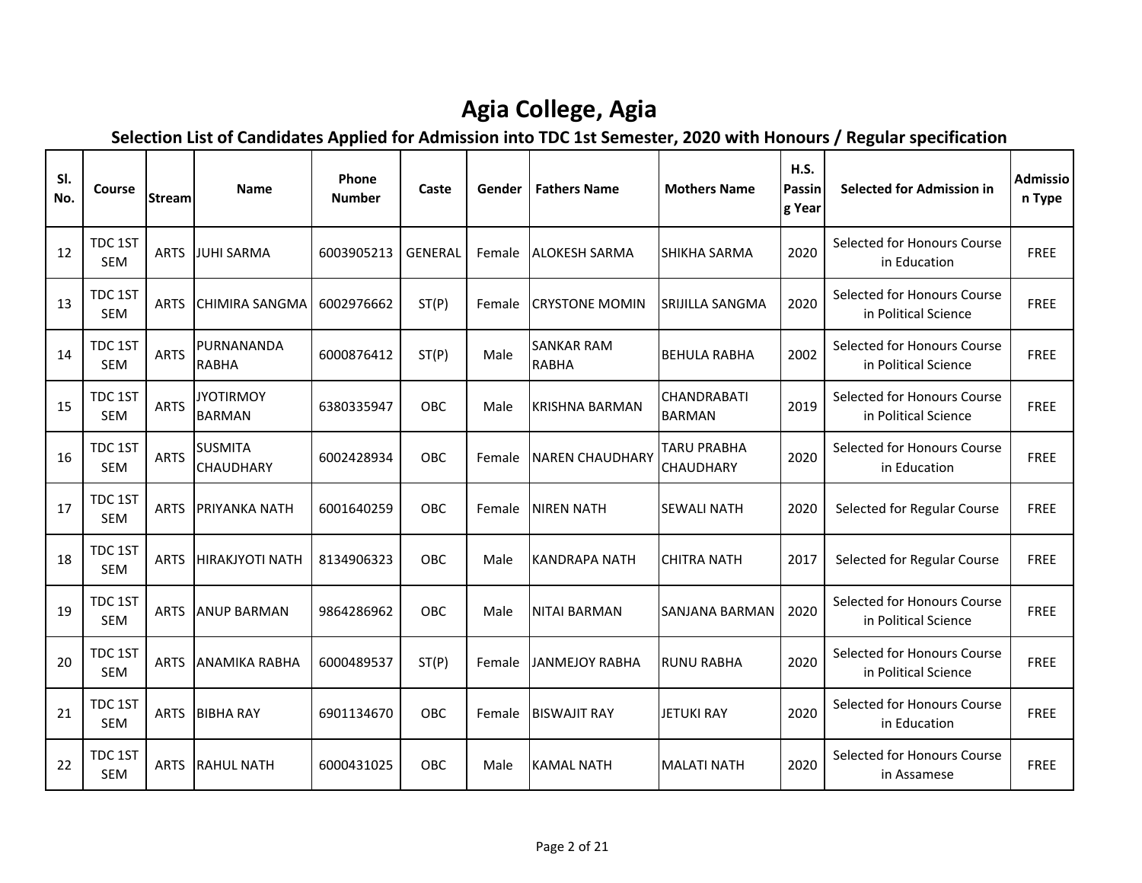| SI.<br>No. | Course                | <b>Stream</b> | <b>Name</b>                        | Phone<br><b>Number</b> | Caste          | Gender | <b>Fathers Name</b>               | <b>Mothers Name</b>                 | <b>H.S.</b><br>Passin<br>g Year | <b>Selected for Admission in</b>                    | <b>Admissio</b><br>n Type |
|------------|-----------------------|---------------|------------------------------------|------------------------|----------------|--------|-----------------------------------|-------------------------------------|---------------------------------|-----------------------------------------------------|---------------------------|
| 12         | TDC 1ST<br><b>SEM</b> | <b>ARTS</b>   | <b>JUHI SARMA</b>                  | 6003905213             | <b>GENERAL</b> | Female | <b>ALOKESH SARMA</b>              | <b>SHIKHA SARMA</b>                 | 2020                            | Selected for Honours Course<br>in Education         | <b>FREE</b>               |
| 13         | TDC 1ST<br><b>SEM</b> | <b>ARTS</b>   | <b>CHIMIRA SANGMA</b>              | 6002976662             | ST(P)          | Female | <b>ICRYSTONE MOMIN</b>            | <b>SRIJILLA SANGMA</b>              | 2020                            | Selected for Honours Course<br>in Political Science | <b>FREE</b>               |
| 14         | TDC 1ST<br><b>SEM</b> | <b>ARTS</b>   | PURNANANDA<br><b>RABHA</b>         | 6000876412             | ST(P)          | Male   | <b>SANKAR RAM</b><br><b>RABHA</b> | <b>BEHULA RABHA</b>                 | 2002                            | Selected for Honours Course<br>in Political Science | <b>FREE</b>               |
| 15         | TDC 1ST<br><b>SEM</b> | <b>ARTS</b>   | <b>JYOTIRMOY</b><br><b>BARMAN</b>  | 6380335947             | OBC            | Male   | <b>KRISHNA BARMAN</b>             | <b>CHANDRABATI</b><br><b>BARMAN</b> | 2019                            | Selected for Honours Course<br>in Political Science | <b>FREE</b>               |
| 16         | TDC 1ST<br><b>SEM</b> | <b>ARTS</b>   | <b>SUSMITA</b><br><b>CHAUDHARY</b> | 6002428934             | OBC            | Female | <b>NAREN CHAUDHARY</b>            | TARU PRABHA<br><b>CHAUDHARY</b>     | 2020                            | Selected for Honours Course<br>in Education         | <b>FREE</b>               |
| 17         | TDC 1ST<br><b>SEM</b> | <b>ARTS</b>   | <b>PRIYANKA NATH</b>               | 6001640259             | <b>OBC</b>     | Female | <b>NIREN NATH</b>                 | <b>SEWALI NATH</b>                  | 2020                            | Selected for Regular Course                         | <b>FREE</b>               |
| 18         | TDC 1ST<br><b>SEM</b> | <b>ARTS</b>   | <b>HIRAKJYOTI NATH</b>             | 8134906323             | <b>OBC</b>     | Male   | <b>KANDRAPA NATH</b>              | <b>CHITRA NATH</b>                  | 2017                            | Selected for Regular Course                         | <b>FREE</b>               |
| 19         | TDC 1ST<br><b>SEM</b> | <b>ARTS</b>   | <b>ANUP BARMAN</b>                 | 9864286962             | OBC            | Male   | <b>NITAI BARMAN</b>               | <b>SANJANA BARMAN</b>               | 2020                            | Selected for Honours Course<br>in Political Science | <b>FREE</b>               |
| 20         | TDC 1ST<br><b>SEM</b> | <b>ARTS</b>   | <b>ANAMIKA RABHA</b>               | 6000489537             | ST(P)          | Female | <b>JANMEJOY RABHA</b>             | <b>RUNU RABHA</b>                   | 2020                            | Selected for Honours Course<br>in Political Science | <b>FREE</b>               |
| 21         | TDC 1ST<br><b>SEM</b> | <b>ARTS</b>   | <b>BIBHA RAY</b>                   | 6901134670             | <b>OBC</b>     | Female | <b>BISWAJIT RAY</b>               | <b>JETUKI RAY</b>                   | 2020                            | Selected for Honours Course<br>in Education         | <b>FREE</b>               |
| 22         | TDC 1ST<br><b>SEM</b> | <b>ARTS</b>   | <b>RAHUL NATH</b>                  | 6000431025             | <b>OBC</b>     | Male   | <b>KAMAL NATH</b>                 | <b>MALATI NATH</b>                  | 2020                            | Selected for Honours Course<br>in Assamese          | <b>FREE</b>               |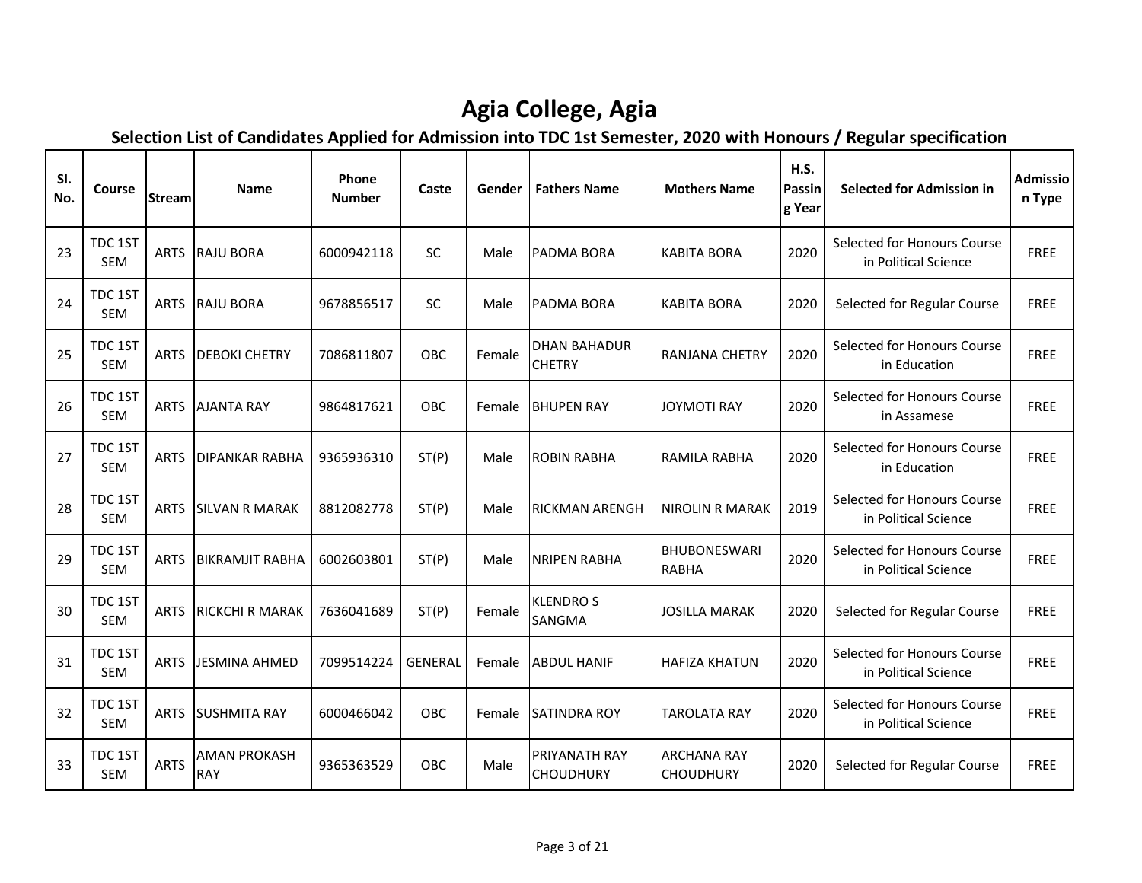| SI.<br>No. | Course                | <b>Stream</b> | <b>Name</b>                       | Phone<br><b>Number</b> | Caste          | Gender | <b>Fathers Name</b>                      | <b>Mothers Name</b>                    | H.S.<br>Passin<br>g Year | <b>Selected for Admission in</b>                    | <b>Admissio</b><br>n Type |
|------------|-----------------------|---------------|-----------------------------------|------------------------|----------------|--------|------------------------------------------|----------------------------------------|--------------------------|-----------------------------------------------------|---------------------------|
| 23         | TDC 1ST<br><b>SEM</b> | <b>ARTS</b>   | <b>RAJU BORA</b>                  | 6000942118             | SC             | Male   | PADMA BORA                               | <b>KABITA BORA</b>                     | 2020                     | Selected for Honours Course<br>in Political Science | <b>FREE</b>               |
| 24         | TDC 1ST<br><b>SEM</b> | <b>ARTS</b>   | <b>RAJU BORA</b>                  | 9678856517             | <b>SC</b>      | Male   | PADMA BORA                               | <b>KABITA BORA</b>                     | 2020                     | Selected for Regular Course                         | <b>FREE</b>               |
| 25         | TDC 1ST<br><b>SEM</b> | <b>ARTS</b>   | <b>DEBOKI CHETRY</b>              | 7086811807             | <b>OBC</b>     | Female | <b>DHAN BAHADUR</b><br><b>CHETRY</b>     | <b>RANJANA CHETRY</b>                  | 2020                     | Selected for Honours Course<br>in Education         | <b>FREE</b>               |
| 26         | TDC 1ST<br><b>SEM</b> | <b>ARTS</b>   | <b>AJANTA RAY</b>                 | 9864817621             | <b>OBC</b>     | Female | <b>BHUPEN RAY</b>                        | <b>JOYMOTI RAY</b>                     | 2020                     | Selected for Honours Course<br>in Assamese          | <b>FREE</b>               |
| 27         | TDC 1ST<br><b>SEM</b> | <b>ARTS</b>   | <b>DIPANKAR RABHA</b>             | 9365936310             | ST(P)          | Male   | <b>ROBIN RABHA</b>                       | RAMILA RABHA                           | 2020                     | Selected for Honours Course<br>in Education         | <b>FREE</b>               |
| 28         | TDC 1ST<br><b>SEM</b> | <b>ARTS</b>   | <b>SILVAN R MARAK</b>             | 8812082778             | ST(P)          | Male   | <b>RICKMAN ARENGH</b>                    | <b>NIROLIN R MARAK</b>                 | 2019                     | Selected for Honours Course<br>in Political Science | <b>FREE</b>               |
| 29         | TDC 1ST<br><b>SEM</b> | <b>ARTS</b>   | <b>BIKRAMJIT RABHA</b>            | 6002603801             | ST(P)          | Male   | <b>NRIPEN RABHA</b>                      | <b>BHUBONESWARI</b><br><b>RABHA</b>    | 2020                     | Selected for Honours Course<br>in Political Science | <b>FREE</b>               |
| 30         | TDC 1ST<br>SEM        | <b>ARTS</b>   | <b>RICKCHI R MARAK</b>            | 7636041689             | ST(P)          | Female | <b>KLENDROS</b><br>SANGMA                | <b>JOSILLA MARAK</b>                   | 2020                     | Selected for Regular Course                         | <b>FREE</b>               |
| 31         | TDC 1ST<br><b>SEM</b> | <b>ARTS</b>   | <b>JESMINA AHMED</b>              | 7099514224             | <b>GENERAL</b> | Female | <b>ABDUL HANIF</b>                       | <b>HAFIZA KHATUN</b>                   | 2020                     | Selected for Honours Course<br>in Political Science | <b>FREE</b>               |
| 32         | TDC 1ST<br><b>SEM</b> | <b>ARTS</b>   | <b>ISUSHMITA RAY</b>              | 6000466042             | <b>OBC</b>     | Female | <b>SATINDRA ROY</b>                      | <b>TAROLATA RAY</b>                    | 2020                     | Selected for Honours Course<br>in Political Science | <b>FREE</b>               |
| 33         | TDC 1ST<br><b>SEM</b> | <b>ARTS</b>   | <b>AMAN PROKASH</b><br><b>RAY</b> | 9365363529             | <b>OBC</b>     | Male   | <b>PRIYANATH RAY</b><br><b>CHOUDHURY</b> | <b>ARCHANA RAY</b><br><b>CHOUDHURY</b> | 2020                     | Selected for Regular Course                         | <b>FREE</b>               |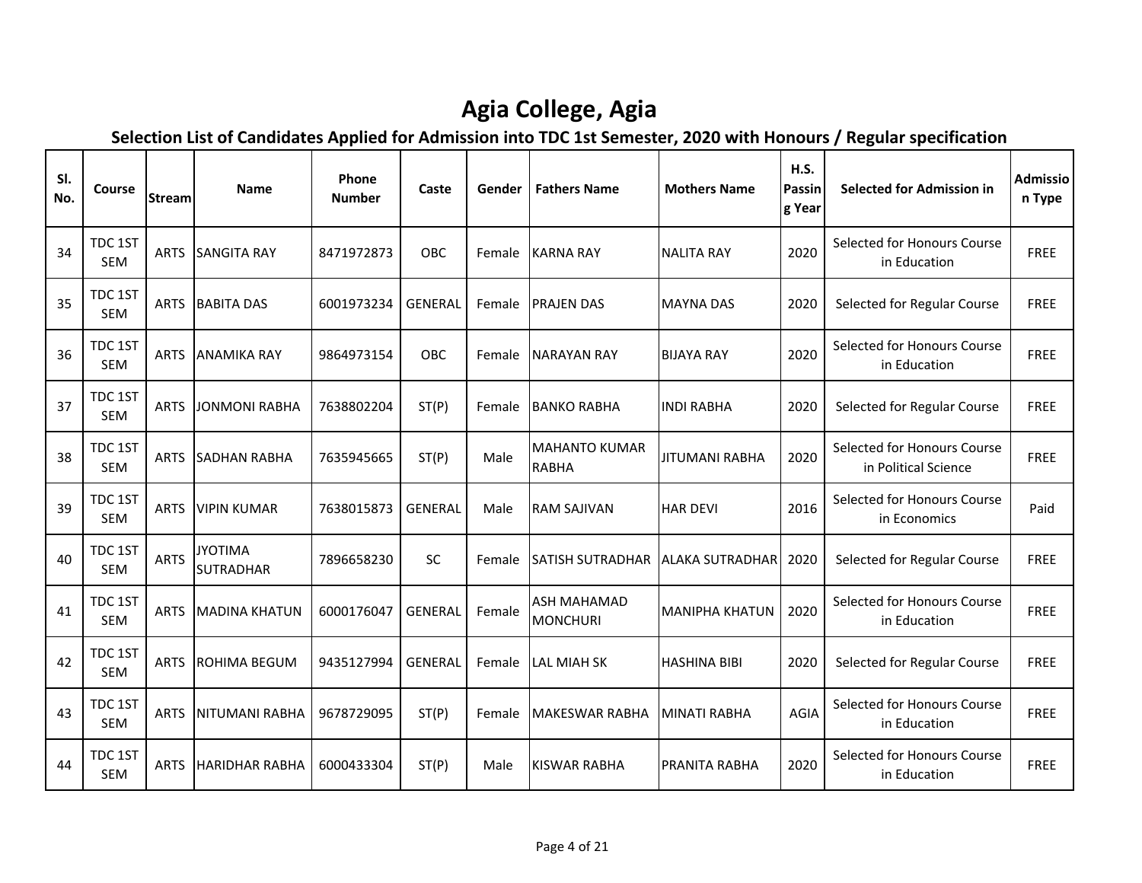| SI.<br>No. | Course                | <b>Stream</b> | <b>Name</b>                        | Phone<br><b>Number</b> | Caste          | Gender | <b>Fathers Name</b>                   | <b>Mothers Name</b>    | <b>H.S.</b><br>Passin<br>g Year | <b>Selected for Admission in</b>                    | <b>Admissio</b><br>n Type |
|------------|-----------------------|---------------|------------------------------------|------------------------|----------------|--------|---------------------------------------|------------------------|---------------------------------|-----------------------------------------------------|---------------------------|
| 34         | TDC 1ST<br><b>SEM</b> | <b>ARTS</b>   | <b>SANGITA RAY</b>                 | 8471972873             | OBC            | Female | <b>KARNA RAY</b>                      | <b>NALITA RAY</b>      | 2020                            | Selected for Honours Course<br>in Education         | <b>FREE</b>               |
| 35         | TDC 1ST<br><b>SEM</b> | <b>ARTS</b>   | <b>BABITA DAS</b>                  | 6001973234             | GENERAL        | Female | <b>PRAJEN DAS</b>                     | <b>MAYNA DAS</b>       | 2020                            | Selected for Regular Course                         | <b>FREE</b>               |
| 36         | TDC 1ST<br><b>SEM</b> | <b>ARTS</b>   | <b>ANAMIKA RAY</b>                 | 9864973154             | OBC            | Female | <b>NARAYAN RAY</b>                    | <b>BIJAYA RAY</b>      | 2020                            | Selected for Honours Course<br>in Education         | <b>FREE</b>               |
| 37         | TDC 1ST<br><b>SEM</b> | <b>ARTS</b>   | <b>JONMONI RABHA</b>               | 7638802204             | ST(P)          | Female | <b>BANKO RABHA</b>                    | <b>INDI RABHA</b>      | 2020                            | Selected for Regular Course                         | <b>FREE</b>               |
| 38         | TDC 1ST<br><b>SEM</b> | <b>ARTS</b>   | <b>SADHAN RABHA</b>                | 7635945665             | ST(P)          | Male   | <b>MAHANTO KUMAR</b><br><b>RABHA</b>  | <b>JITUMANI RABHA</b>  | 2020                            | Selected for Honours Course<br>in Political Science | <b>FREE</b>               |
| 39         | TDC 1ST<br><b>SEM</b> | <b>ARTS</b>   | <b>VIPIN KUMAR</b>                 | 7638015873             | <b>GENERAL</b> | Male   | <b>RAM SAJIVAN</b>                    | <b>HAR DEVI</b>        | 2016                            | Selected for Honours Course<br>in Economics         | Paid                      |
| 40         | TDC 1ST<br><b>SEM</b> | <b>ARTS</b>   | <b>JYOTIMA</b><br><b>SUTRADHAR</b> | 7896658230             | <b>SC</b>      | Female | <b>SATISH SUTRADHAR</b>               | <b>ALAKA SUTRADHAR</b> | 2020                            | Selected for Regular Course                         | <b>FREE</b>               |
| 41         | TDC 1ST<br><b>SEM</b> | <b>ARTS</b>   | <b>MADINA KHATUN</b>               | 6000176047             | <b>GENERAL</b> | Female | <b>ASH MAHAMAD</b><br><b>MONCHURI</b> | <b>MANIPHA KHATUN</b>  | 2020                            | Selected for Honours Course<br>in Education         | <b>FREE</b>               |
| 42         | TDC 1ST<br><b>SEM</b> | <b>ARTS</b>   | <b>ROHIMA BEGUM</b>                | 9435127994             | <b>GENERAL</b> | Female | <b>LAL MIAH SK</b>                    | <b>HASHINA BIBI</b>    | 2020                            | Selected for Regular Course                         | <b>FREE</b>               |
| 43         | TDC 1ST<br><b>SEM</b> | <b>ARTS</b>   | <b>NITUMANI RABHA</b>              | 9678729095             | ST(P)          | Female | MAKESWAR RABHA                        | MINATI RABHA           | <b>AGIA</b>                     | Selected for Honours Course<br>in Education         | <b>FREE</b>               |
| 44         | TDC 1ST<br><b>SEM</b> | <b>ARTS</b>   | <b>HARIDHAR RABHA</b>              | 6000433304             | ST(P)          | Male   | <b>KISWAR RABHA</b>                   | <b>PRANITA RABHA</b>   | 2020                            | Selected for Honours Course<br>in Education         | <b>FREE</b>               |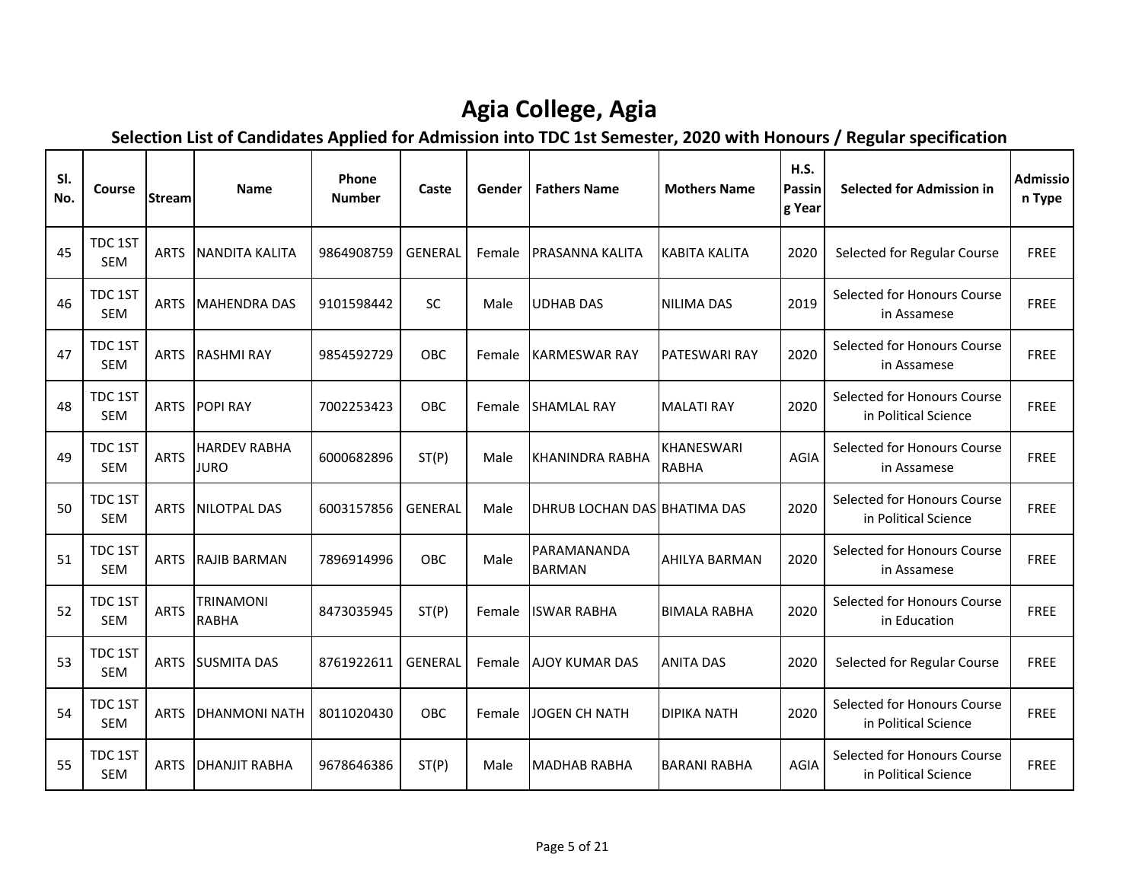| SI.<br>No. | Course                | <b>Stream</b> | <b>Name</b>                        | Phone<br><b>Number</b> | Caste          | Gender | <b>Fathers Name</b>          | <b>Mothers Name</b>               | <b>H.S.</b><br>Passin<br>g Year | <b>Selected for Admission in</b>                    | <b>Admissio</b><br>n Type |
|------------|-----------------------|---------------|------------------------------------|------------------------|----------------|--------|------------------------------|-----------------------------------|---------------------------------|-----------------------------------------------------|---------------------------|
| 45         | TDC 1ST<br><b>SEM</b> | <b>ARTS</b>   | <b>NANDITA KALITA</b>              | 9864908759             | <b>GENERAL</b> | Female | <b>PRASANNA KALITA</b>       | <b>KABITA KALITA</b>              | 2020                            | Selected for Regular Course                         | <b>FREE</b>               |
| 46         | TDC 1ST<br><b>SEM</b> | <b>ARTS</b>   | <b>MAHENDRA DAS</b>                | 9101598442             | <b>SC</b>      | Male   | <b>UDHAB DAS</b>             | <b>NILIMA DAS</b>                 | 2019                            | Selected for Honours Course<br>in Assamese          | <b>FREE</b>               |
| 47         | TDC 1ST<br><b>SEM</b> | <b>ARTS</b>   | <b>RASHMI RAY</b>                  | 9854592729             | OBC            | Female | <b>KARMESWAR RAY</b>         | <b>PATESWARI RAY</b>              | 2020                            | Selected for Honours Course<br>in Assamese          | <b>FREE</b>               |
| 48         | TDC 1ST<br><b>SEM</b> | <b>ARTS</b>   | <b>POPI RAY</b>                    | 7002253423             | <b>OBC</b>     | Female | <b>SHAMLAL RAY</b>           | <b>MALATI RAY</b>                 | 2020                            | Selected for Honours Course<br>in Political Science | <b>FREE</b>               |
| 49         | TDC 1ST<br><b>SEM</b> | <b>ARTS</b>   | <b>HARDEV RABHA</b><br><b>JURO</b> | 6000682896             | ST(P)          | Male   | <b>KHANINDRA RABHA</b>       | <b>KHANESWARI</b><br><b>RABHA</b> | <b>AGIA</b>                     | Selected for Honours Course<br>in Assamese          | <b>FREE</b>               |
| 50         | TDC 1ST<br><b>SEM</b> | <b>ARTS</b>   | <b>NILOTPAL DAS</b>                | 6003157856             | <b>GENERAL</b> | Male   | DHRUB LOCHAN DAS BHATIMA DAS |                                   | 2020                            | Selected for Honours Course<br>in Political Science | <b>FREE</b>               |
| 51         | TDC 1ST<br><b>SEM</b> | <b>ARTS</b>   | <b>RAJIB BARMAN</b>                | 7896914996             | <b>OBC</b>     | Male   | PARAMANANDA<br><b>BARMAN</b> | <b>AHILYA BARMAN</b>              | 2020                            | Selected for Honours Course<br>in Assamese          | <b>FREE</b>               |
| 52         | TDC 1ST<br><b>SEM</b> | <b>ARTS</b>   | <b>TRINAMONI</b><br><b>RABHA</b>   | 8473035945             | ST(P)          | Female | <b>ISWAR RABHA</b>           | <b>BIMALA RABHA</b>               | 2020                            | Selected for Honours Course<br>in Education         | <b>FREE</b>               |
| 53         | TDC 1ST<br><b>SEM</b> | <b>ARTS</b>   | <b>SUSMITA DAS</b>                 | 8761922611             | <b>GENERAL</b> | Female | <b>AJOY KUMAR DAS</b>        | <b>ANITA DAS</b>                  | 2020                            | Selected for Regular Course                         | <b>FREE</b>               |
| 54         | TDC 1ST<br><b>SEM</b> | <b>ARTS</b>   | <b>DHANMONI NATH</b>               | 8011020430             | <b>OBC</b>     | Female | <b>JOGEN CH NATH</b>         | <b>DIPIKA NATH</b>                | 2020                            | Selected for Honours Course<br>in Political Science | <b>FREE</b>               |
| 55         | TDC 1ST<br><b>SEM</b> | <b>ARTS</b>   | <b>DHANJIT RABHA</b>               | 9678646386             | ST(P)          | Male   | <b>MADHAB RABHA</b>          | <b>BARANI RABHA</b>               | <b>AGIA</b>                     | Selected for Honours Course<br>in Political Science | <b>FREE</b>               |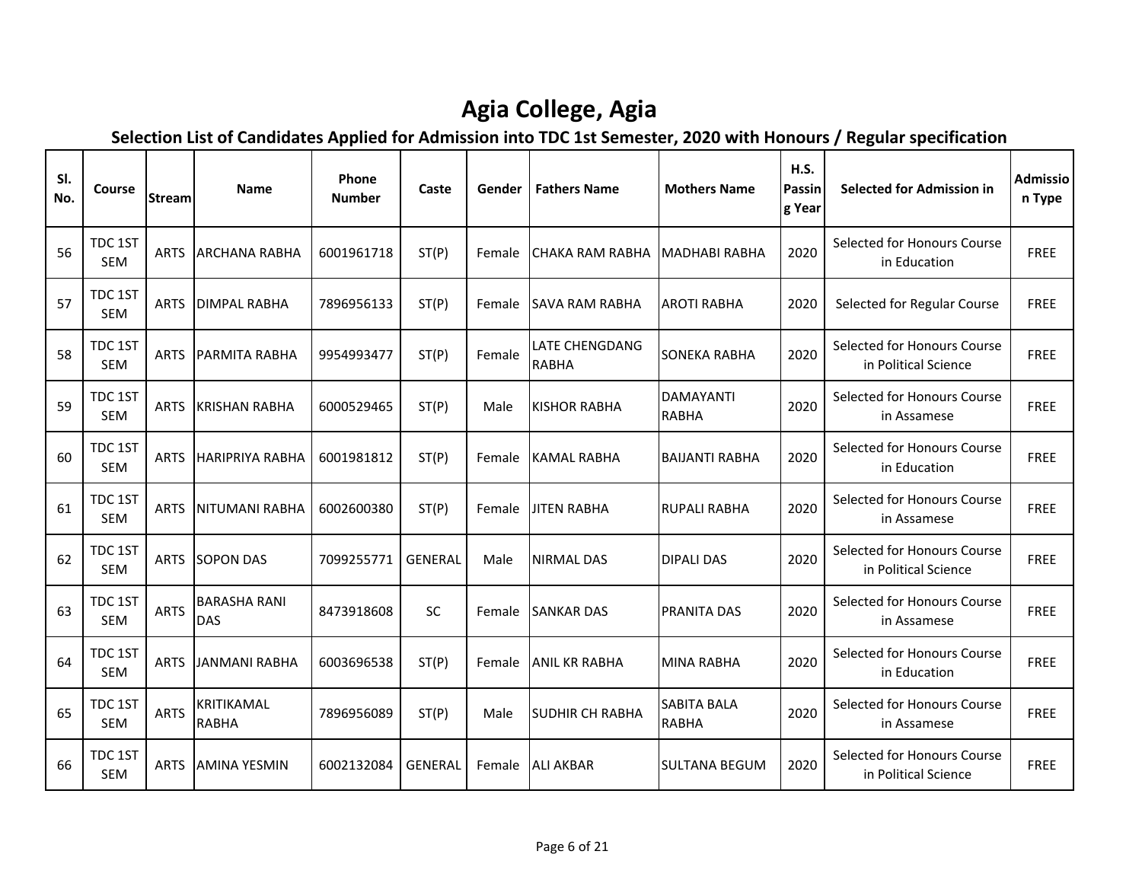| SI.<br>No. | Course                | <b>Stream</b> | <b>Name</b>                       | Phone<br><b>Number</b> | Caste          | Gender | <b>Fathers Name</b>                   | <b>Mothers Name</b>                | H.S.<br>Passin<br>g Year | <b>Selected for Admission in</b>                    | <b>Admissio</b><br>n Type |
|------------|-----------------------|---------------|-----------------------------------|------------------------|----------------|--------|---------------------------------------|------------------------------------|--------------------------|-----------------------------------------------------|---------------------------|
| 56         | TDC 1ST<br><b>SEM</b> | <b>ARTS</b>   | <b>ARCHANA RABHA</b>              | 6001961718             | ST(P)          | Female | <b>CHAKA RAM RABHA</b>                | <b>MADHABI RABHA</b>               | 2020                     | Selected for Honours Course<br>in Education         | <b>FREE</b>               |
| 57         | TDC 1ST<br><b>SEM</b> | <b>ARTS</b>   | <b>DIMPAL RABHA</b>               | 7896956133             | ST(P)          | Female | <b>SAVA RAM RABHA</b>                 | <b>AROTI RABHA</b>                 | 2020                     | Selected for Regular Course                         | <b>FREE</b>               |
| 58         | TDC 1ST<br>SEM        | <b>ARTS</b>   | <b>PARMITA RABHA</b>              | 9954993477             | ST(P)          | Female | <b>LATE CHENGDANG</b><br><b>RABHA</b> | <b>SONEKA RABHA</b>                | 2020                     | Selected for Honours Course<br>in Political Science | <b>FREE</b>               |
| 59         | TDC 1ST<br><b>SEM</b> | <b>ARTS</b>   | <b>KRISHAN RABHA</b>              | 6000529465             | ST(P)          | Male   | <b>KISHOR RABHA</b>                   | <b>DAMAYANTI</b><br><b>RABHA</b>   | 2020                     | Selected for Honours Course<br>in Assamese          | <b>FREE</b>               |
| 60         | TDC 1ST<br>SEM        | <b>ARTS</b>   | <b>HARIPRIYA RABHA</b>            | 6001981812             | ST(P)          | Female | KAMAL RABHA                           | <b>BAIJANTI RABHA</b>              | 2020                     | Selected for Honours Course<br>in Education         | <b>FREE</b>               |
| 61         | TDC 1ST<br><b>SEM</b> | <b>ARTS</b>   | NITUMANI RABHA                    | 6002600380             | ST(P)          | Female | <b>JITEN RABHA</b>                    | <b>RUPALI RABHA</b>                | 2020                     | Selected for Honours Course<br>in Assamese          | <b>FREE</b>               |
| 62         | TDC 1ST<br><b>SEM</b> | <b>ARTS</b>   | <b>SOPON DAS</b>                  | 7099255771             | <b>GENERAL</b> | Male   | <b>NIRMAL DAS</b>                     | <b>DIPALI DAS</b>                  | 2020                     | Selected for Honours Course<br>in Political Science | <b>FREE</b>               |
| 63         | TDC 1ST<br>SEM        | <b>ARTS</b>   | <b>BARASHA RANI</b><br><b>DAS</b> | 8473918608             | <b>SC</b>      | Female | <b>SANKAR DAS</b>                     | <b>PRANITA DAS</b>                 | 2020                     | Selected for Honours Course<br>in Assamese          | <b>FREE</b>               |
| 64         | TDC 1ST<br>SEM        | <b>ARTS</b>   | <b>JANMANI RABHA</b>              | 6003696538             | ST(P)          | Female | <b>ANIL KR RABHA</b>                  | <b>MINA RABHA</b>                  | 2020                     | Selected for Honours Course<br>in Education         | <b>FREE</b>               |
| 65         | TDC 1ST<br><b>SEM</b> | <b>ARTS</b>   | <b>KRITIKAMAL</b><br><b>RABHA</b> | 7896956089             | ST(P)          | Male   | <b>SUDHIR CH RABHA</b>                | <b>SABITA BALA</b><br><b>RABHA</b> | 2020                     | Selected for Honours Course<br>in Assamese          | <b>FREE</b>               |
| 66         | TDC 1ST<br><b>SEM</b> | <b>ARTS</b>   | <b>AMINA YESMIN</b>               | 6002132084             | <b>GENERAL</b> | Female | <b>ALI AKBAR</b>                      | <b>SULTANA BEGUM</b>               | 2020                     | Selected for Honours Course<br>in Political Science | <b>FREE</b>               |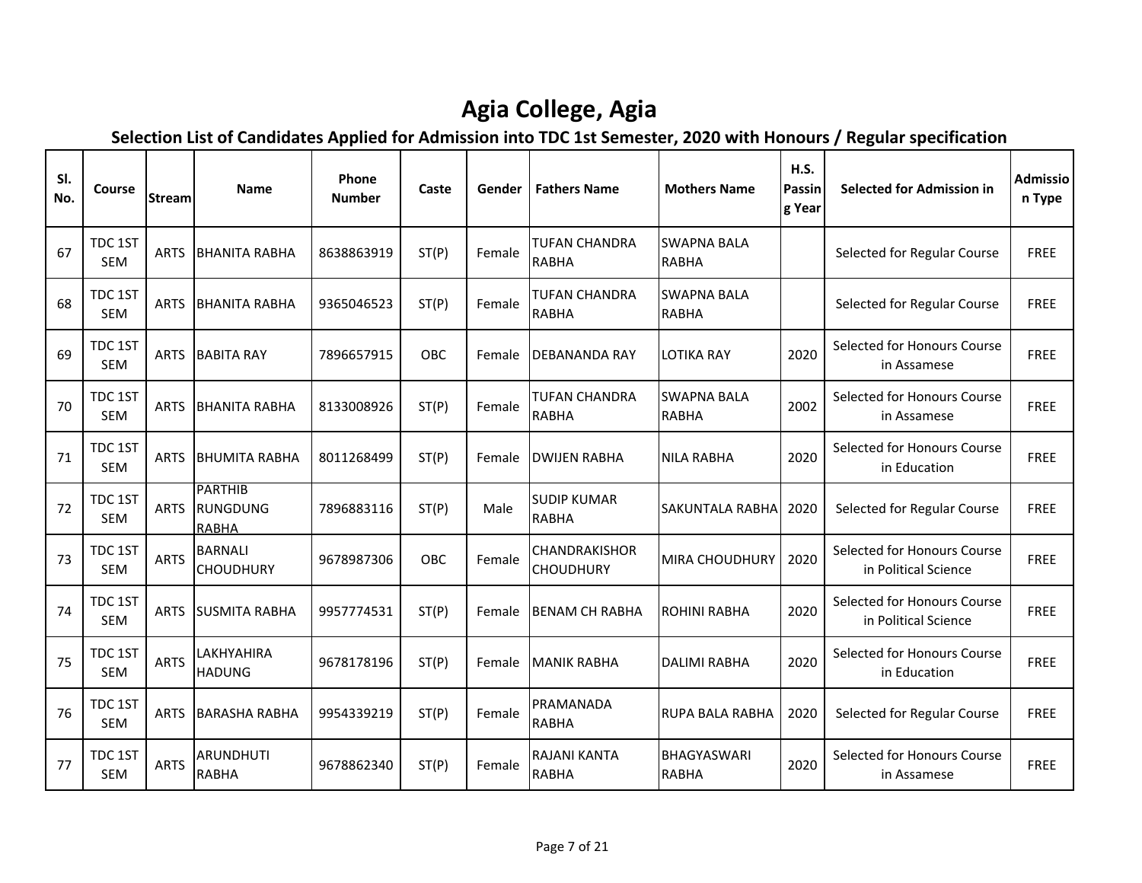| SI.<br>No. | Course                | <b>Stream</b> | <b>Name</b>                                       | Phone<br><b>Number</b> | Caste      | Gender | <b>Fathers Name</b>                      | <b>Mothers Name</b>                | <b>H.S.</b><br><b>Passin</b><br>g Year | <b>Selected for Admission in</b>                    | <b>Admissio</b><br>n Type |
|------------|-----------------------|---------------|---------------------------------------------------|------------------------|------------|--------|------------------------------------------|------------------------------------|----------------------------------------|-----------------------------------------------------|---------------------------|
| 67         | TDC 1ST<br><b>SEM</b> | <b>ARTS</b>   | <b>BHANITA RABHA</b>                              | 8638863919             | ST(P)      | Female | <b>TUFAN CHANDRA</b><br><b>RABHA</b>     | <b>SWAPNA BALA</b><br><b>RABHA</b> |                                        | Selected for Regular Course                         | <b>FREE</b>               |
| 68         | TDC 1ST<br><b>SEM</b> | <b>ARTS</b>   | <b>BHANITA RABHA</b>                              | 9365046523             | ST(P)      | Female | <b>TUFAN CHANDRA</b><br><b>RABHA</b>     | <b>SWAPNA BALA</b><br><b>RABHA</b> |                                        | Selected for Regular Course                         | <b>FREE</b>               |
| 69         | TDC 1ST<br><b>SEM</b> | <b>ARTS</b>   | <b>BABITA RAY</b>                                 | 7896657915             | <b>OBC</b> | Female | <b>DEBANANDA RAY</b>                     | <b>LOTIKA RAY</b>                  | 2020                                   | Selected for Honours Course<br>in Assamese          | <b>FREE</b>               |
| 70         | TDC 1ST<br><b>SEM</b> | <b>ARTS</b>   | <b>BHANITA RABHA</b>                              | 8133008926             | ST(P)      | Female | <b>TUFAN CHANDRA</b><br><b>RABHA</b>     | <b>SWAPNA BALA</b><br><b>RABHA</b> | 2002                                   | Selected for Honours Course<br>in Assamese          | <b>FREE</b>               |
| 71         | TDC 1ST<br><b>SEM</b> | <b>ARTS</b>   | <b>BHUMITA RABHA</b>                              | 8011268499             | ST(P)      | Female | <b>DWIJEN RABHA</b>                      | <b>NILA RABHA</b>                  | 2020                                   | Selected for Honours Course<br>in Education         | <b>FREE</b>               |
| 72         | TDC 1ST<br><b>SEM</b> | <b>ARTS</b>   | <b>PARTHIB</b><br><b>RUNGDUNG</b><br><b>RABHA</b> | 7896883116             | ST(P)      | Male   | <b>SUDIP KUMAR</b><br><b>RABHA</b>       | <b>SAKUNTALA RABHA</b>             | 2020                                   | Selected for Regular Course                         | <b>FREE</b>               |
| 73         | TDC 1ST<br><b>SEM</b> | <b>ARTS</b>   | <b>BARNALI</b><br><b>CHOUDHURY</b>                | 9678987306             | <b>OBC</b> | Female | <b>CHANDRAKISHOR</b><br><b>CHOUDHURY</b> | <b>MIRA CHOUDHURY</b>              | 2020                                   | Selected for Honours Course<br>in Political Science | <b>FREE</b>               |
| 74         | TDC 1ST<br><b>SEM</b> | <b>ARTS</b>   | <b>SUSMITA RABHA</b>                              | 9957774531             | ST(P)      | Female | <b>BENAM CH RABHA</b>                    | <b>ROHINI RABHA</b>                | 2020                                   | Selected for Honours Course<br>in Political Science | <b>FREE</b>               |
| 75         | TDC 1ST<br><b>SEM</b> | <b>ARTS</b>   | LAKHYAHIRA<br><b>HADUNG</b>                       | 9678178196             | ST(P)      | Female | <b>MANIK RABHA</b>                       | <b>DALIMI RABHA</b>                | 2020                                   | Selected for Honours Course<br>in Education         | <b>FREE</b>               |
| 76         | TDC 1ST<br><b>SEM</b> | <b>ARTS</b>   | <b>BARASHA RABHA</b>                              | 9954339219             | ST(P)      | Female | PRAMANADA<br><b>RABHA</b>                | <b>RUPA BALA RABHA</b>             | 2020                                   | Selected for Regular Course                         | <b>FREE</b>               |
| 77         | TDC 1ST<br><b>SEM</b> | <b>ARTS</b>   | <b>ARUNDHUTI</b><br><b>RABHA</b>                  | 9678862340             | ST(P)      | Female | <b>RAJANI KANTA</b><br><b>RABHA</b>      | <b>BHAGYASWARI</b><br><b>RABHA</b> | 2020                                   | Selected for Honours Course<br>in Assamese          | <b>FREE</b>               |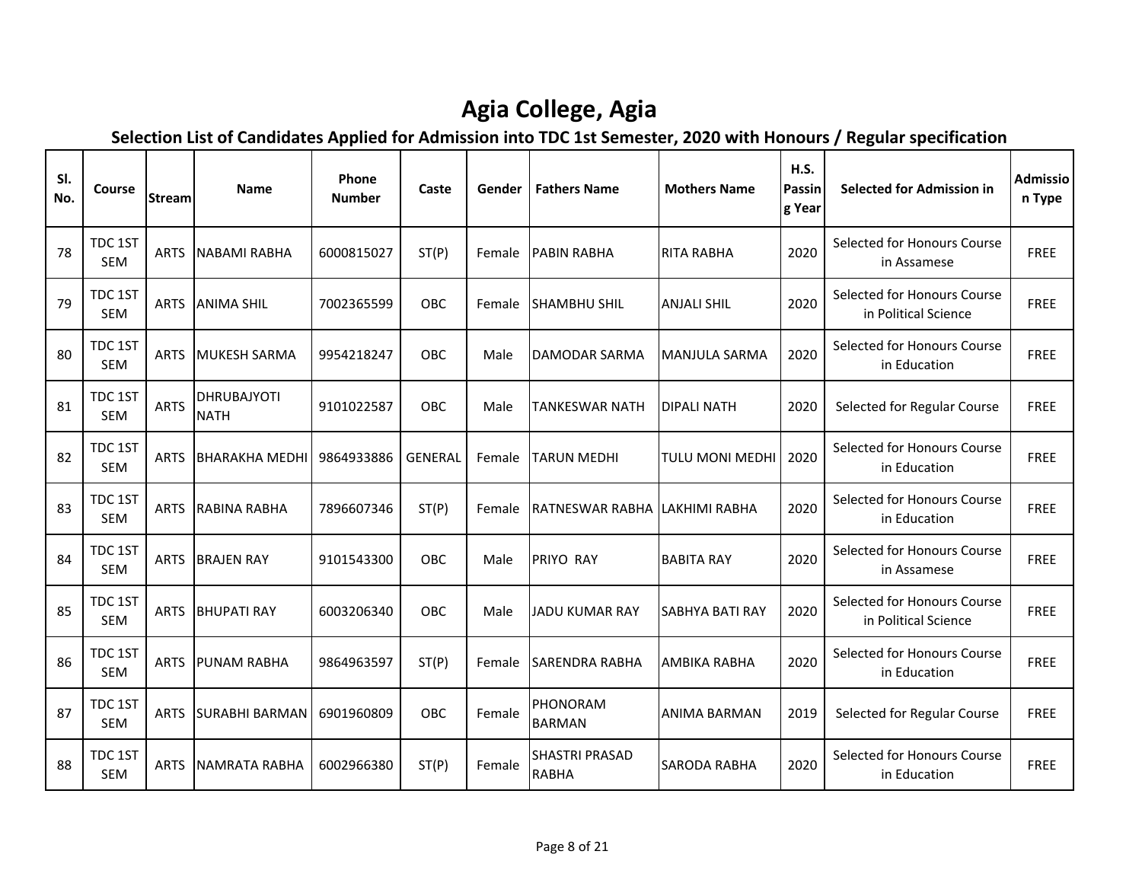| SI.<br>No. | <b>Course</b>         | <b>Stream</b> | <b>Name</b>                       | Phone<br><b>Number</b> | Caste      | Gender | <b>Fathers Name</b>                   | <b>Mothers Name</b>    | <b>H.S.</b><br>Passin<br>g Year | <b>Selected for Admission in</b>                    | <b>Admissio</b><br>n Type |
|------------|-----------------------|---------------|-----------------------------------|------------------------|------------|--------|---------------------------------------|------------------------|---------------------------------|-----------------------------------------------------|---------------------------|
| 78         | TDC 1ST<br><b>SEM</b> | <b>ARTS</b>   | NABAMI RABHA                      | 6000815027             | ST(P)      | Female | <b>PABIN RABHA</b>                    | <b>RITA RABHA</b>      | 2020                            | Selected for Honours Course<br>in Assamese          | <b>FREE</b>               |
| 79         | TDC 1ST<br><b>SEM</b> | <b>ARTS</b>   | <b>ANIMA SHIL</b>                 | 7002365599             | <b>OBC</b> | Female | <b>SHAMBHU SHIL</b>                   | ANJALI SHIL            | 2020                            | Selected for Honours Course<br>in Political Science | <b>FREE</b>               |
| 80         | TDC 1ST<br><b>SEM</b> | <b>ARTS</b>   | <b>MUKESH SARMA</b>               | 9954218247             | <b>OBC</b> | Male   | DAMODAR SARMA                         | <b>MANJULA SARMA</b>   | 2020                            | Selected for Honours Course<br>in Education         | <b>FREE</b>               |
| 81         | TDC 1ST<br><b>SEM</b> | <b>ARTS</b>   | <b>DHRUBAJYOTI</b><br><b>NATH</b> | 9101022587             | <b>OBC</b> | Male   | <b>TANKESWAR NATH</b>                 | DIPALI NATH            | 2020                            | Selected for Regular Course                         | <b>FREE</b>               |
| 82         | TDC 1ST<br>SEM        | <b>ARTS</b>   | <b>BHARAKHA MEDHI</b>             | 9864933886             | GENERAL    | Female | <b>TARUN MEDHI</b>                    | <b>TULU MONI MEDHI</b> | 2020                            | Selected for Honours Course<br>in Education         | <b>FREE</b>               |
| 83         | TDC 1ST<br>SEM        | <b>ARTS</b>   | RABINA RABHA                      | 7896607346             | ST(P)      | Female | IRATNESWAR RABHA ILAKHIMI RABHA       |                        | 2020                            | Selected for Honours Course<br>in Education         | <b>FREE</b>               |
| 84         | TDC 1ST<br><b>SEM</b> | <b>ARTS</b>   | <b>BRAJEN RAY</b>                 | 9101543300             | <b>OBC</b> | Male   | PRIYO RAY                             | <b>BABITA RAY</b>      | 2020                            | Selected for Honours Course<br>in Assamese          | <b>FREE</b>               |
| 85         | TDC 1ST<br>SEM        | <b>ARTS</b>   | <b>BHUPATI RAY</b>                | 6003206340             | <b>OBC</b> | Male   | <b>JADU KUMAR RAY</b>                 | <b>SABHYA BATI RAY</b> | 2020                            | Selected for Honours Course<br>in Political Science | <b>FREE</b>               |
| 86         | TDC 1ST<br>SEM        | <b>ARTS</b>   | <b>PUNAM RABHA</b>                | 9864963597             | ST(P)      | Female | <b>SARENDRA RABHA</b>                 | AMBIKA RABHA           | 2020                            | Selected for Honours Course<br>in Education         | <b>FREE</b>               |
| 87         | TDC 1ST<br><b>SEM</b> | <b>ARTS</b>   | <b>SURABHI BARMAN</b>             | 6901960809             | <b>OBC</b> | Female | PHONORAM<br><b>BARMAN</b>             | <b>ANIMA BARMAN</b>    | 2019                            | Selected for Regular Course                         | <b>FREE</b>               |
| 88         | TDC 1ST<br><b>SEM</b> | <b>ARTS</b>   | NAMRATA RABHA                     | 6002966380             | ST(P)      | Female | <b>SHASTRI PRASAD</b><br><b>RABHA</b> | <b>SARODA RABHA</b>    | 2020                            | Selected for Honours Course<br>in Education         | <b>FREE</b>               |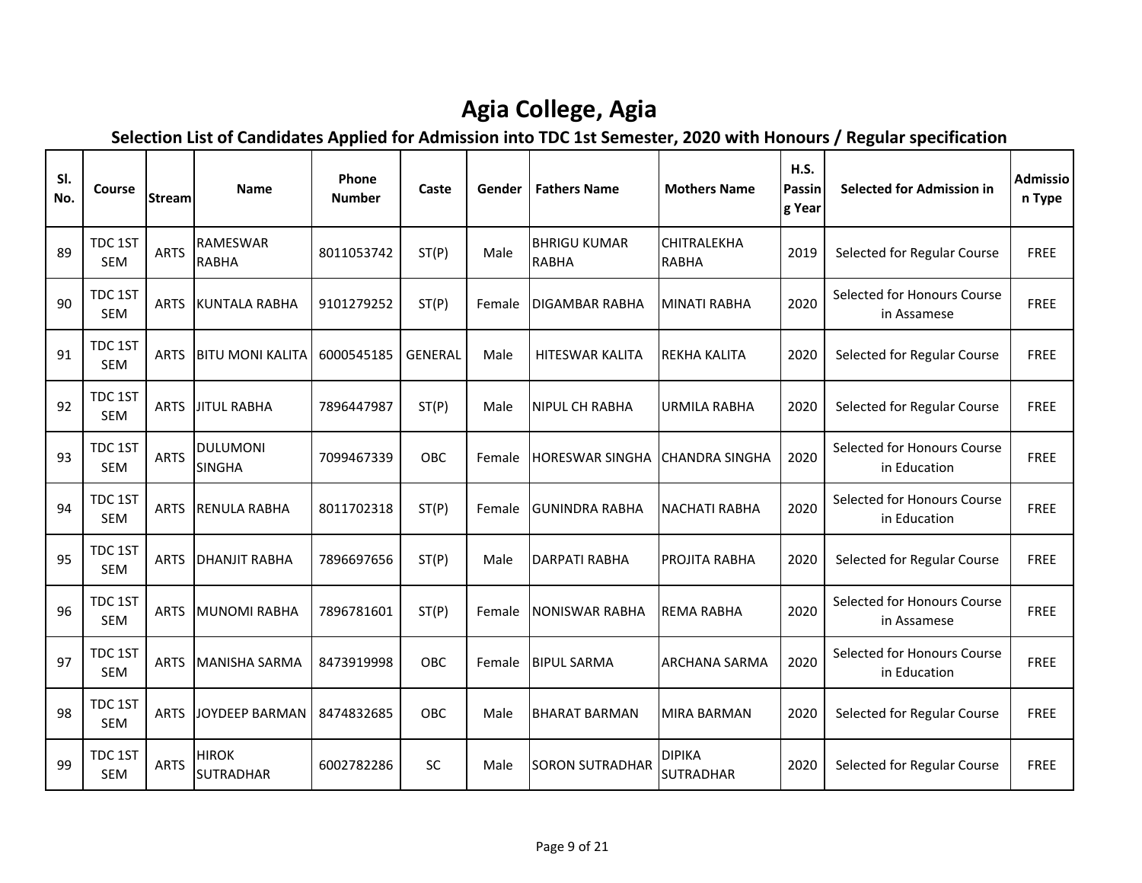| SI.<br>No. | Course                | <b>Stream</b> | <b>Name</b>                      | Phone<br><b>Number</b> | Caste          | Gender | <b>Fathers Name</b>                 | <b>Mothers Name</b>                | H.S.<br><b>Passin</b><br>g Year | <b>Selected for Admission in</b>            | <b>Admissio</b><br>n Type |
|------------|-----------------------|---------------|----------------------------------|------------------------|----------------|--------|-------------------------------------|------------------------------------|---------------------------------|---------------------------------------------|---------------------------|
| 89         | TDC 1ST<br><b>SEM</b> | <b>ARTS</b>   | <b>RAMESWAR</b><br><b>RABHA</b>  | 8011053742             | ST(P)          | Male   | <b>BHRIGU KUMAR</b><br><b>RABHA</b> | <b>CHITRALEKHA</b><br><b>RABHA</b> | 2019                            | Selected for Regular Course                 | <b>FREE</b>               |
| 90         | TDC 1ST<br>SEM        | <b>ARTS</b>   | <b>KUNTALA RABHA</b>             | 9101279252             | ST(P)          | Female | <b>DIGAMBAR RABHA</b>               | <b>MINATI RABHA</b>                | 2020                            | Selected for Honours Course<br>in Assamese  | <b>FREE</b>               |
| 91         | TDC 1ST<br><b>SEM</b> | <b>ARTS</b>   | <b>BITU MONI KALITA</b>          | 6000545185             | <b>GENERAL</b> | Male   | <b>HITESWAR KALITA</b>              | <b>REKHA KALITA</b>                | 2020                            | Selected for Regular Course                 | <b>FREE</b>               |
| 92         | TDC 1ST<br><b>SEM</b> | <b>ARTS</b>   | <b>JITUL RABHA</b>               | 7896447987             | ST(P)          | Male   | <b>NIPUL CH RABHA</b>               | <b>URMILA RABHA</b>                | 2020                            | Selected for Regular Course                 | <b>FREE</b>               |
| 93         | TDC 1ST<br><b>SEM</b> | <b>ARTS</b>   | <b>DULUMONI</b><br><b>SINGHA</b> | 7099467339             | <b>OBC</b>     | Female | <b>HORESWAR SINGHA</b>              | <b>CHANDRA SINGHA</b>              | 2020                            | Selected for Honours Course<br>in Education | <b>FREE</b>               |
| 94         | TDC 1ST<br><b>SEM</b> | <b>ARTS</b>   | <b>RENULA RABHA</b>              | 8011702318             | ST(P)          | Female | <b>GUNINDRA RABHA</b>               | <b>NACHATI RABHA</b>               | 2020                            | Selected for Honours Course<br>in Education | <b>FREE</b>               |
| 95         | TDC 1ST<br>SEM        | <b>ARTS</b>   | <b>DHANJIT RABHA</b>             | 7896697656             | ST(P)          | Male   | <b>DARPATI RABHA</b>                | <b>PROJITA RABHA</b>               | 2020                            | Selected for Regular Course                 | <b>FREE</b>               |
| 96         | TDC 1ST<br><b>SEM</b> | <b>ARTS</b>   | MUNOMI RABHA                     | 7896781601             | ST(P)          | Female | <b>NONISWAR RABHA</b>               | <b>REMA RABHA</b>                  | 2020                            | Selected for Honours Course<br>in Assamese  | <b>FREE</b>               |
| 97         | TDC 1ST<br><b>SEM</b> | <b>ARTS</b>   | <b>MANISHA SARMA</b>             | 8473919998             | <b>OBC</b>     | Female | <b>BIPUL SARMA</b>                  | <b>ARCHANA SARMA</b>               | 2020                            | Selected for Honours Course<br>in Education | <b>FREE</b>               |
| 98         | TDC 1ST<br><b>SEM</b> | <b>ARTS</b>   | JOYDEEP BARMAN                   | 8474832685             | <b>OBC</b>     | Male   | <b>BHARAT BARMAN</b>                | <b>MIRA BARMAN</b>                 | 2020                            | Selected for Regular Course                 | <b>FREE</b>               |
| 99         | TDC 1ST<br><b>SEM</b> | <b>ARTS</b>   | <b>HIROK</b><br><b>SUTRADHAR</b> | 6002782286             | SC             | Male   | <b>SORON SUTRADHAR</b>              | <b>DIPIKA</b><br><b>SUTRADHAR</b>  | 2020                            | Selected for Regular Course                 | <b>FREE</b>               |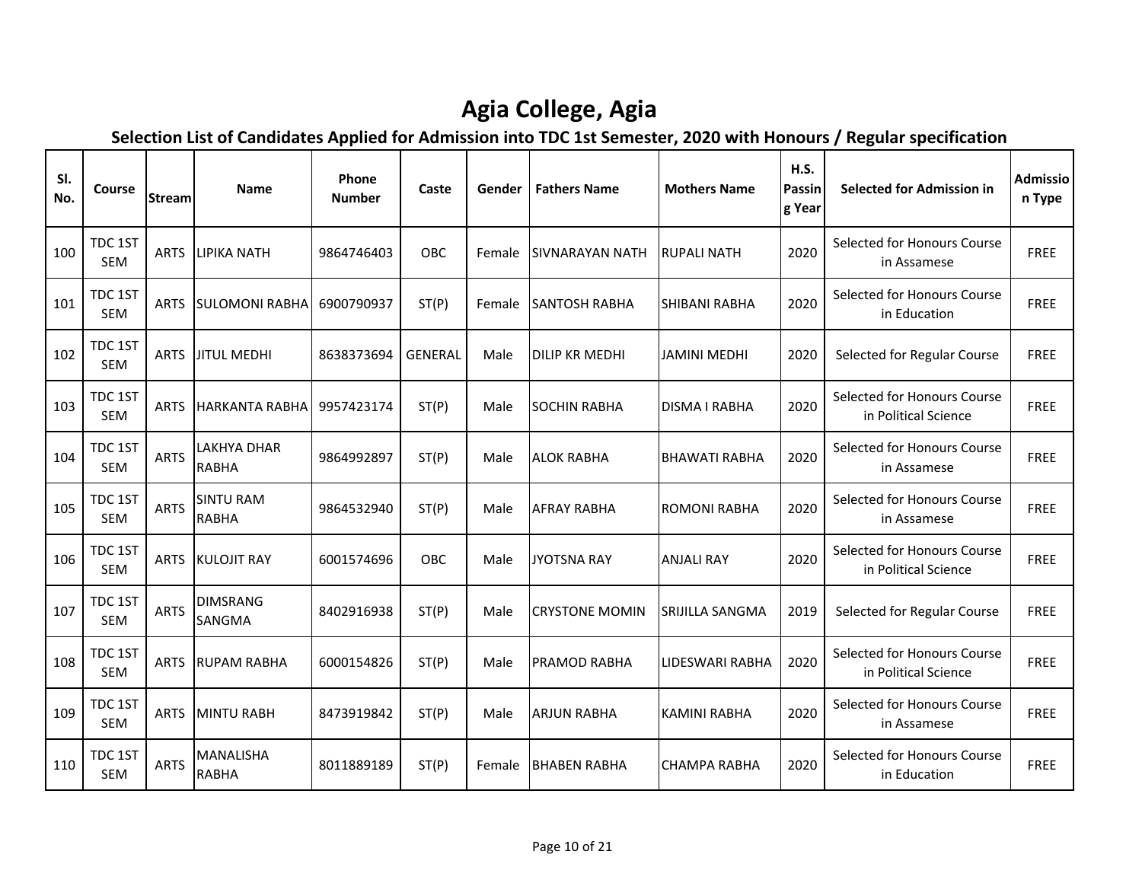| SI.<br>No. | Course                | <b>Stream</b> | <b>Name</b>                        | Phone<br><b>Number</b> | Caste          | Gender | <b>Fathers Name</b>    | <b>Mothers Name</b>    | <b>H.S.</b><br>Passin<br>g Year | <b>Selected for Admission in</b>                    | <b>Admissio</b><br>n Type |
|------------|-----------------------|---------------|------------------------------------|------------------------|----------------|--------|------------------------|------------------------|---------------------------------|-----------------------------------------------------|---------------------------|
| 100        | TDC 1ST<br><b>SEM</b> | <b>ARTS</b>   | <b>LIPIKA NATH</b>                 | 9864746403             | OBC            | Female | <b>SIVNARAYAN NATH</b> | <b>RUPALI NATH</b>     | 2020                            | Selected for Honours Course<br>in Assamese          | <b>FREE</b>               |
| 101        | TDC 1ST<br><b>SEM</b> | <b>ARTS</b>   | <b>SULOMONI RABHA</b>              | 6900790937             | ST(P)          | Female | <b>SANTOSH RABHA</b>   | ISHIBANI RABHA         | 2020                            | Selected for Honours Course<br>in Education         | <b>FREE</b>               |
| 102        | TDC 1ST<br><b>SEM</b> | <b>ARTS</b>   | <b>JITUL MEDHI</b>                 | 8638373694             | <b>GENERAL</b> | Male   | <b>DILIP KR MEDHI</b>  | <b>JAMINI MEDHI</b>    | 2020                            | Selected for Regular Course                         | <b>FREE</b>               |
| 103        | TDC 1ST<br><b>SEM</b> | <b>ARTS</b>   | <b>HARKANTA RABHA</b>              | 9957423174             | ST(P)          | Male   | <b>SOCHIN RABHA</b>    | <b>DISMA I RABHA</b>   | 2020                            | Selected for Honours Course<br>in Political Science | <b>FREE</b>               |
| 104        | TDC 1ST<br><b>SEM</b> | <b>ARTS</b>   | <b>LAKHYA DHAR</b><br><b>RABHA</b> | 9864992897             | ST(P)          | Male   | <b>ALOK RABHA</b>      | <b>BHAWATI RABHA</b>   | 2020                            | Selected for Honours Course<br>in Assamese          | <b>FREE</b>               |
| 105        | TDC 1ST<br><b>SEM</b> | <b>ARTS</b>   | <b>SINTU RAM</b><br><b>RABHA</b>   | 9864532940             | ST(P)          | Male   | <b>AFRAY RABHA</b>     | <b>ROMONI RABHA</b>    | 2020                            | Selected for Honours Course<br>in Assamese          | <b>FREE</b>               |
| 106        | TDC 1ST<br><b>SEM</b> | <b>ARTS</b>   | <b>KULOJIT RAY</b>                 | 6001574696             | <b>OBC</b>     | Male   | <b>JYOTSNA RAY</b>     | <b>ANJALI RAY</b>      | 2020                            | Selected for Honours Course<br>in Political Science | <b>FREE</b>               |
| 107        | TDC 1ST<br><b>SEM</b> | <b>ARTS</b>   | <b>DIMSRANG</b><br>SANGMA          | 8402916938             | ST(P)          | Male   | <b>CRYSTONE MOMIN</b>  | <b>SRIJILLA SANGMA</b> | 2019                            | Selected for Regular Course                         | <b>FREE</b>               |
| 108        | TDC 1ST<br><b>SEM</b> | <b>ARTS</b>   | <b>RUPAM RABHA</b>                 | 6000154826             | ST(P)          | Male   | <b>PRAMOD RABHA</b>    | LIDESWARI RABHA        | 2020                            | Selected for Honours Course<br>in Political Science | <b>FREE</b>               |
| 109        | TDC 1ST<br><b>SEM</b> | <b>ARTS</b>   | <b>MINTU RABH</b>                  | 8473919842             | ST(P)          | Male   | <b>ARJUN RABHA</b>     | <b>KAMINI RABHA</b>    | 2020                            | Selected for Honours Course<br>in Assamese          | <b>FREE</b>               |
| 110        | TDC 1ST<br><b>SEM</b> | <b>ARTS</b>   | <b>MANALISHA</b><br><b>RABHA</b>   | 8011889189             | ST(P)          | Female | <b>BHABEN RABHA</b>    | <b>CHAMPA RABHA</b>    | 2020                            | Selected for Honours Course<br>in Education         | <b>FREE</b>               |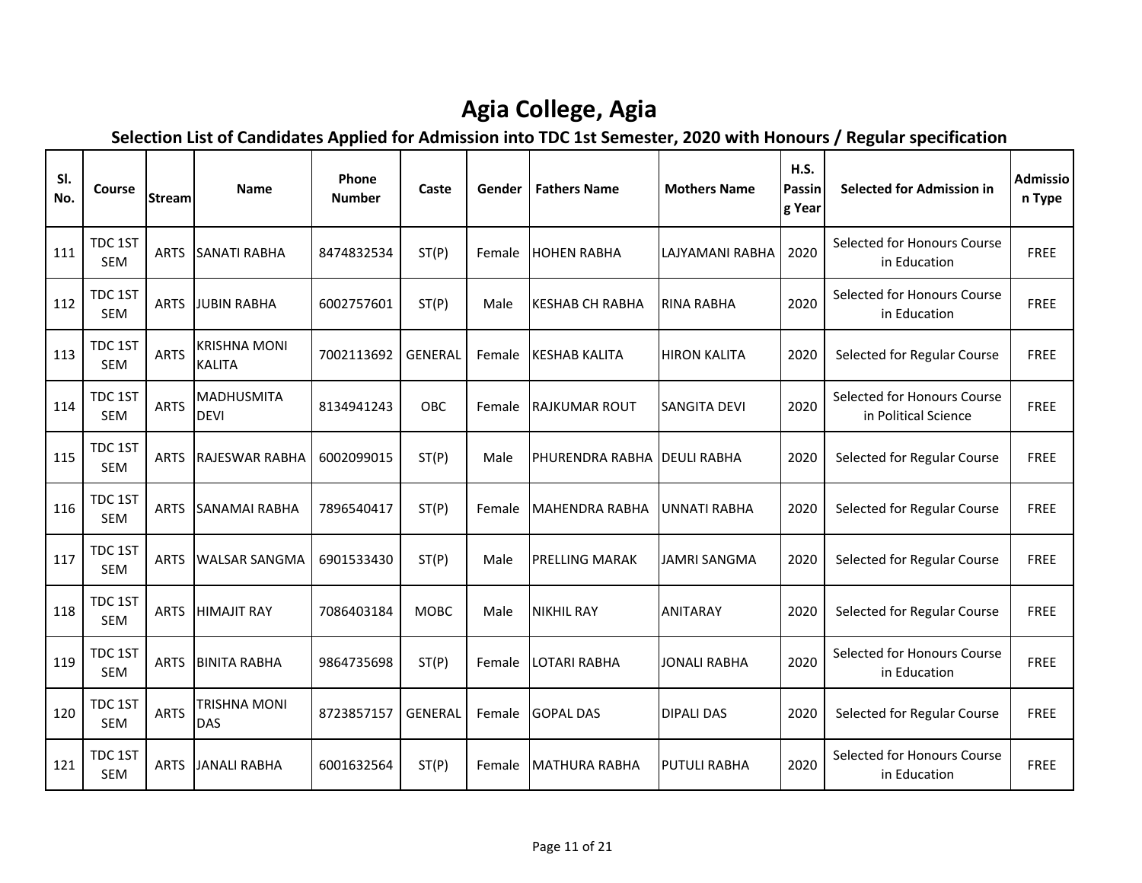| SI.<br>No. | Course                | Stream      | <b>Name</b>                          | Phone<br><b>Number</b> | Caste       | Gender | <b>Fathers Name</b>          | <b>Mothers Name</b> | <b>H.S.</b><br>Passin<br>g Year | <b>Selected for Admission in</b>                    | <b>Admissio</b><br>n Type |
|------------|-----------------------|-------------|--------------------------------------|------------------------|-------------|--------|------------------------------|---------------------|---------------------------------|-----------------------------------------------------|---------------------------|
| 111        | TDC 1ST<br><b>SEM</b> | <b>ARTS</b> | <b>SANATI RABHA</b>                  | 8474832534             | ST(P)       | Female | <b>HOHEN RABHA</b>           | LAJYAMANI RABHA     | 2020                            | Selected for Honours Course<br>in Education         | <b>FREE</b>               |
| 112        | TDC 1ST<br><b>SEM</b> | <b>ARTS</b> | <b>JUBIN RABHA</b>                   | 6002757601             | ST(P)       | Male   | <b>KESHAB CH RABHA</b>       | <b>RINA RABHA</b>   | 2020                            | Selected for Honours Course<br>in Education         | <b>FREE</b>               |
| 113        | TDC 1ST<br><b>SEM</b> | <b>ARTS</b> | <b>KRISHNA MONI</b><br><b>KALITA</b> | 7002113692             | GENERAL     | Female | <b>IKESHAB KALITA</b>        | <b>HIRON KALITA</b> | 2020                            | Selected for Regular Course                         | <b>FREE</b>               |
| 114        | TDC 1ST<br>SEM        | <b>ARTS</b> | <b>MADHUSMITA</b><br><b>DEVI</b>     | 8134941243             | OBC         | Female | <b>RAJKUMAR ROUT</b>         | <b>SANGITA DEVI</b> | 2020                            | Selected for Honours Course<br>in Political Science | <b>FREE</b>               |
| 115        | TDC 1ST<br><b>SEM</b> | <b>ARTS</b> | <b>RAJESWAR RABHA</b>                | 6002099015             | ST(P)       | Male   | PHURENDRA RABHA IDEULI RABHA |                     | 2020                            | Selected for Regular Course                         | <b>FREE</b>               |
| 116        | TDC 1ST<br><b>SEM</b> | <b>ARTS</b> | <b>SANAMAI RABHA</b>                 | 7896540417             | ST(P)       | Female | <b>MAHENDRA RABHA</b>        | <b>UNNATI RABHA</b> | 2020                            | Selected for Regular Course                         | <b>FREE</b>               |
| 117        | TDC 1ST<br><b>SEM</b> | <b>ARTS</b> | <b>WALSAR SANGMA</b>                 | 6901533430             | ST(P)       | Male   | <b>PRELLING MARAK</b>        | <b>JAMRI SANGMA</b> | 2020                            | Selected for Regular Course                         | <b>FREE</b>               |
| 118        | TDC 1ST<br>SEM        | <b>ARTS</b> | <b>HIMAJIT RAY</b>                   | 7086403184             | <b>MOBC</b> | Male   | <b>NIKHIL RAY</b>            | <b>ANITARAY</b>     | 2020                            | Selected for Regular Course                         | <b>FREE</b>               |
| 119        | TDC 1ST<br><b>SEM</b> | <b>ARTS</b> | <b>BINITA RABHA</b>                  | 9864735698             | ST(P)       | Female | LOTARI RABHA                 | <b>JONALI RABHA</b> | 2020                            | Selected for Honours Course<br>in Education         | <b>FREE</b>               |
| 120        | TDC 1ST<br><b>SEM</b> | <b>ARTS</b> | TRISHNA MONI<br><b>DAS</b>           | 8723857157             | GENERAL     | Female | <b>GOPAL DAS</b>             | <b>DIPALI DAS</b>   | 2020                            | Selected for Regular Course                         | <b>FREE</b>               |
| 121        | TDC 1ST<br><b>SEM</b> | <b>ARTS</b> | JANALI RABHA                         | 6001632564             | ST(P)       | Female | <b>MATHURA RABHA</b>         | <b>PUTULI RABHA</b> | 2020                            | Selected for Honours Course<br>in Education         | <b>FREE</b>               |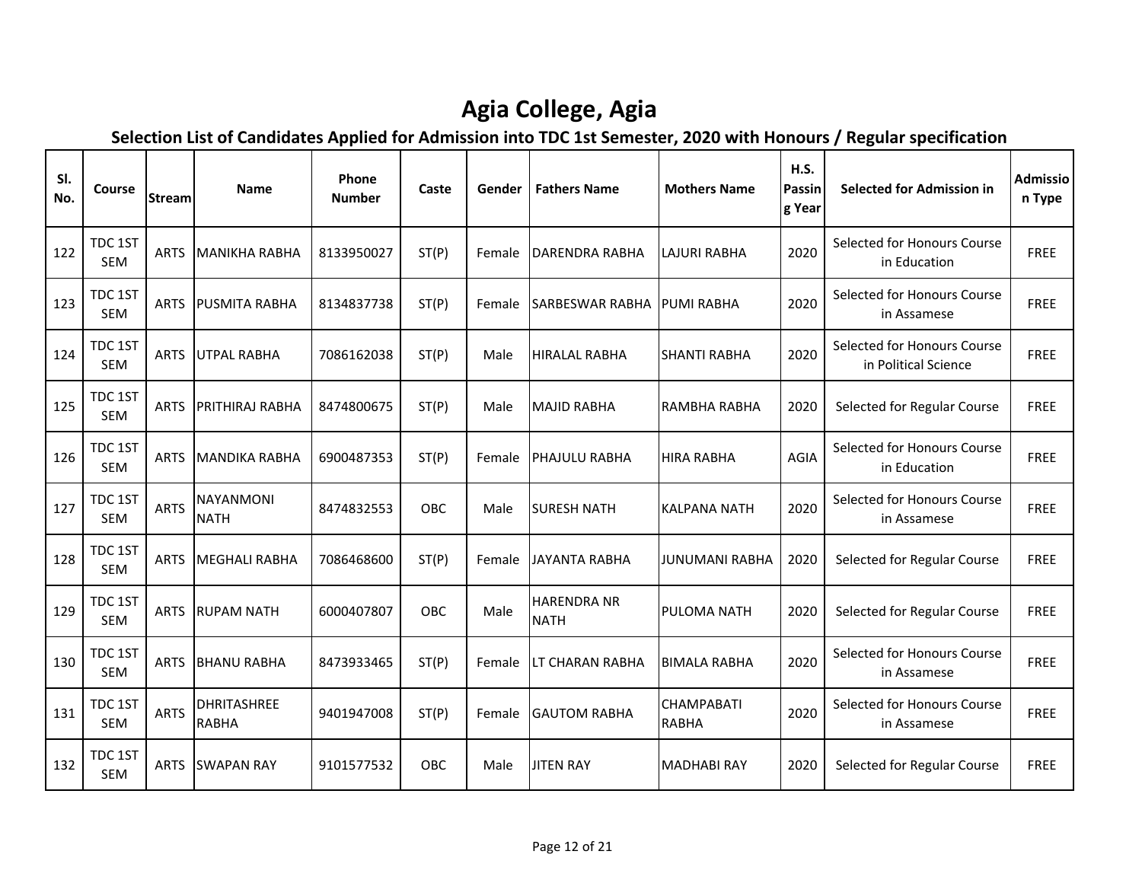| SI.<br>No. | <b>Course</b>         | <b>Stream</b> | <b>Name</b>                        | Phone<br><b>Number</b> | Caste      | Gender | <b>Fathers Name</b>               | <b>Mothers Name</b>               | H.S.<br><b>Passin</b><br>g Year | <b>Selected for Admission in</b>                    | <b>Admissio</b><br>n Type |
|------------|-----------------------|---------------|------------------------------------|------------------------|------------|--------|-----------------------------------|-----------------------------------|---------------------------------|-----------------------------------------------------|---------------------------|
| 122        | TDC 1ST<br><b>SEM</b> | <b>ARTS</b>   | <b>MANIKHA RABHA</b>               | 8133950027             | ST(P)      | Female | <b>DARENDRA RABHA</b>             | <b>LAJURI RABHA</b>               | 2020                            | Selected for Honours Course<br>in Education         | <b>FREE</b>               |
| 123        | TDC 1ST<br>SEM        | <b>ARTS</b>   | <b>PUSMITA RABHA</b>               | 8134837738             | ST(P)      | Female | <b>SARBESWAR RABHA</b>            | <b>PUMI RABHA</b>                 | 2020                            | Selected for Honours Course<br>in Assamese          | <b>FREE</b>               |
| 124        | TDC 1ST<br><b>SEM</b> | <b>ARTS</b>   | <b>UTPAL RABHA</b>                 | 7086162038             | ST(P)      | Male   | <b>HIRALAL RABHA</b>              | <b>SHANTI RABHA</b>               | 2020                            | Selected for Honours Course<br>in Political Science | <b>FREE</b>               |
| 125        | TDC 1ST<br><b>SEM</b> | <b>ARTS</b>   | PRITHIRAJ RABHA                    | 8474800675             | ST(P)      | Male   | <b>MAJID RABHA</b>                | <b>RAMBHA RABHA</b>               | 2020                            | Selected for Regular Course                         | <b>FREE</b>               |
| 126        | TDC 1ST<br><b>SEM</b> | <b>ARTS</b>   | <b>MANDIKA RABHA</b>               | 6900487353             | ST(P)      | Female | <b>PHAJULU RABHA</b>              | <b>HIRA RABHA</b>                 | <b>AGIA</b>                     | Selected for Honours Course<br>in Education         | <b>FREE</b>               |
| 127        | TDC 1ST<br><b>SEM</b> | <b>ARTS</b>   | <b>NAYANMONI</b><br><b>NATH</b>    | 8474832553             | <b>OBC</b> | Male   | <b>SURESH NATH</b>                | KALPANA NATH                      | 2020                            | Selected for Honours Course<br>in Assamese          | <b>FREE</b>               |
| 128        | TDC 1ST<br>SEM        | <b>ARTS</b>   | <b>MEGHALI RABHA</b>               | 7086468600             | ST(P)      | Female | <b>JAYANTA RABHA</b>              | <b>JUNUMANI RABHA</b>             | 2020                            | Selected for Regular Course                         | <b>FREE</b>               |
| 129        | TDC 1ST<br><b>SEM</b> | <b>ARTS</b>   | <b>RUPAM NATH</b>                  | 6000407807             | OBC        | Male   | <b>HARENDRA NR</b><br><b>NATH</b> | PULOMA NATH                       | 2020                            | Selected for Regular Course                         | <b>FREE</b>               |
| 130        | TDC 1ST<br><b>SEM</b> | <b>ARTS</b>   | <b>BHANU RABHA</b>                 | 8473933465             | ST(P)      | Female | <b>LT CHARAN RABHA</b>            | <b>BIMALA RABHA</b>               | 2020                            | Selected for Honours Course<br>in Assamese          | <b>FREE</b>               |
| 131        | TDC 1ST<br><b>SEM</b> | <b>ARTS</b>   | <b>DHRITASHREE</b><br><b>RABHA</b> | 9401947008             | ST(P)      | Female | <b>GAUTOM RABHA</b>               | <b>CHAMPABATI</b><br><b>RABHA</b> | 2020                            | Selected for Honours Course<br>in Assamese          | <b>FREE</b>               |
| 132        | TDC 1ST<br><b>SEM</b> | <b>ARTS</b>   | <b>SWAPAN RAY</b>                  | 9101577532             | OBC        | Male   | <b>JITEN RAY</b>                  | <b>MADHABI RAY</b>                | 2020                            | Selected for Regular Course                         | <b>FREE</b>               |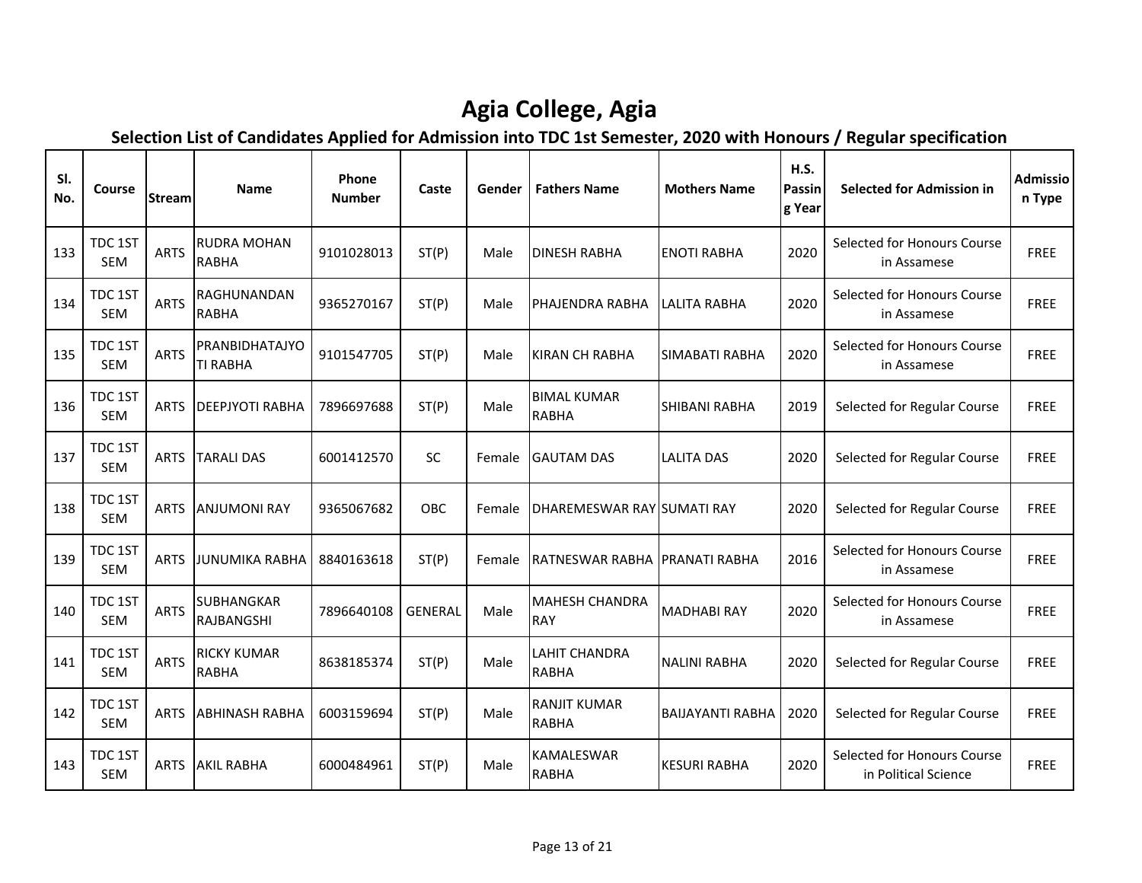| SI.<br>No. | Course                | <b>Stream</b> | <b>Name</b>                        | Phone<br><b>Number</b> | Caste          | Gender | <b>Fathers Name</b>                 | <b>Mothers Name</b>     | H.S.<br>Passin<br>g Year | <b>Selected for Admission in</b>                    | <b>Admissio</b><br>n Type |
|------------|-----------------------|---------------|------------------------------------|------------------------|----------------|--------|-------------------------------------|-------------------------|--------------------------|-----------------------------------------------------|---------------------------|
| 133        | TDC 1ST<br><b>SEM</b> | <b>ARTS</b>   | <b>RUDRA MOHAN</b><br>RABHA        | 9101028013             | ST(P)          | Male   | <b>DINESH RABHA</b>                 | <b>ENOTI RABHA</b>      | 2020                     | Selected for Honours Course<br>in Assamese          | <b>FREE</b>               |
| 134        | TDC 1ST<br><b>SEM</b> | <b>ARTS</b>   | RAGHUNANDAN<br><b>RABHA</b>        | 9365270167             | ST(P)          | Male   | PHAJENDRA RABHA                     | LALITA RABHA            | 2020                     | Selected for Honours Course<br>in Assamese          | <b>FREE</b>               |
| 135        | TDC 1ST<br><b>SEM</b> | <b>ARTS</b>   | PRANBIDHATAJYO<br><b>TI RABHA</b>  | 9101547705             | ST(P)          | Male   | <b>KIRAN CH RABHA</b>               | <b>SIMABATI RABHA</b>   | 2020                     | Selected for Honours Course<br>in Assamese          | <b>FREE</b>               |
| 136        | TDC 1ST<br><b>SEM</b> | <b>ARTS</b>   | <b>DEEPJYOTI RABHA</b>             | 7896697688             | ST(P)          | Male   | <b>BIMAL KUMAR</b><br><b>RABHA</b>  | <b>SHIBANI RABHA</b>    | 2019                     | Selected for Regular Course                         | <b>FREE</b>               |
| 137        | TDC 1ST<br><b>SEM</b> | <b>ARTS</b>   | <b>TARALI DAS</b>                  | 6001412570             | <b>SC</b>      | Female | <b>GAUTAM DAS</b>                   | <b>LALITA DAS</b>       | 2020                     | Selected for Regular Course                         | <b>FREE</b>               |
| 138        | TDC 1ST<br><b>SEM</b> | <b>ARTS</b>   | <b>ANJUMONI RAY</b>                | 9365067682             | <b>OBC</b>     | Female | DHAREMESWAR RAY SUMATI RAY          |                         | 2020                     | Selected for Regular Course                         | <b>FREE</b>               |
| 139        | TDC 1ST<br><b>SEM</b> | <b>ARTS</b>   | JUNUMIKA RABHA                     | 8840163618             | ST(P)          | Female | RATNESWAR RABHA PRANATI RABHA       |                         | 2016                     | Selected for Honours Course<br>in Assamese          | <b>FREE</b>               |
| 140        | TDC 1ST<br><b>SEM</b> | <b>ARTS</b>   | <b>SUBHANGKAR</b><br>RAJBANGSHI    | 7896640108             | <b>GENERAL</b> | Male   | <b>MAHESH CHANDRA</b><br><b>RAY</b> | <b>MADHABI RAY</b>      | 2020                     | Selected for Honours Course<br>in Assamese          | <b>FREE</b>               |
| 141        | TDC 1ST<br><b>SEM</b> | <b>ARTS</b>   | <b>RICKY KUMAR</b><br><b>RABHA</b> | 8638185374             | ST(P)          | Male   | LAHIT CHANDRA<br><b>RABHA</b>       | <b>NALINI RABHA</b>     | 2020                     | Selected for Regular Course                         | <b>FREE</b>               |
| 142        | TDC 1ST<br><b>SEM</b> | <b>ARTS</b>   | <b>ABHINASH RABHA</b>              | 6003159694             | ST(P)          | Male   | <b>RANJIT KUMAR</b><br><b>RABHA</b> | <b>BAIJAYANTI RABHA</b> | 2020                     | Selected for Regular Course                         | <b>FREE</b>               |
| 143        | TDC 1ST<br><b>SEM</b> | <b>ARTS</b>   | <b>AKIL RABHA</b>                  | 6000484961             | ST(P)          | Male   | <b>KAMALESWAR</b><br><b>RABHA</b>   | <b>KESURI RABHA</b>     | 2020                     | Selected for Honours Course<br>in Political Science | <b>FREE</b>               |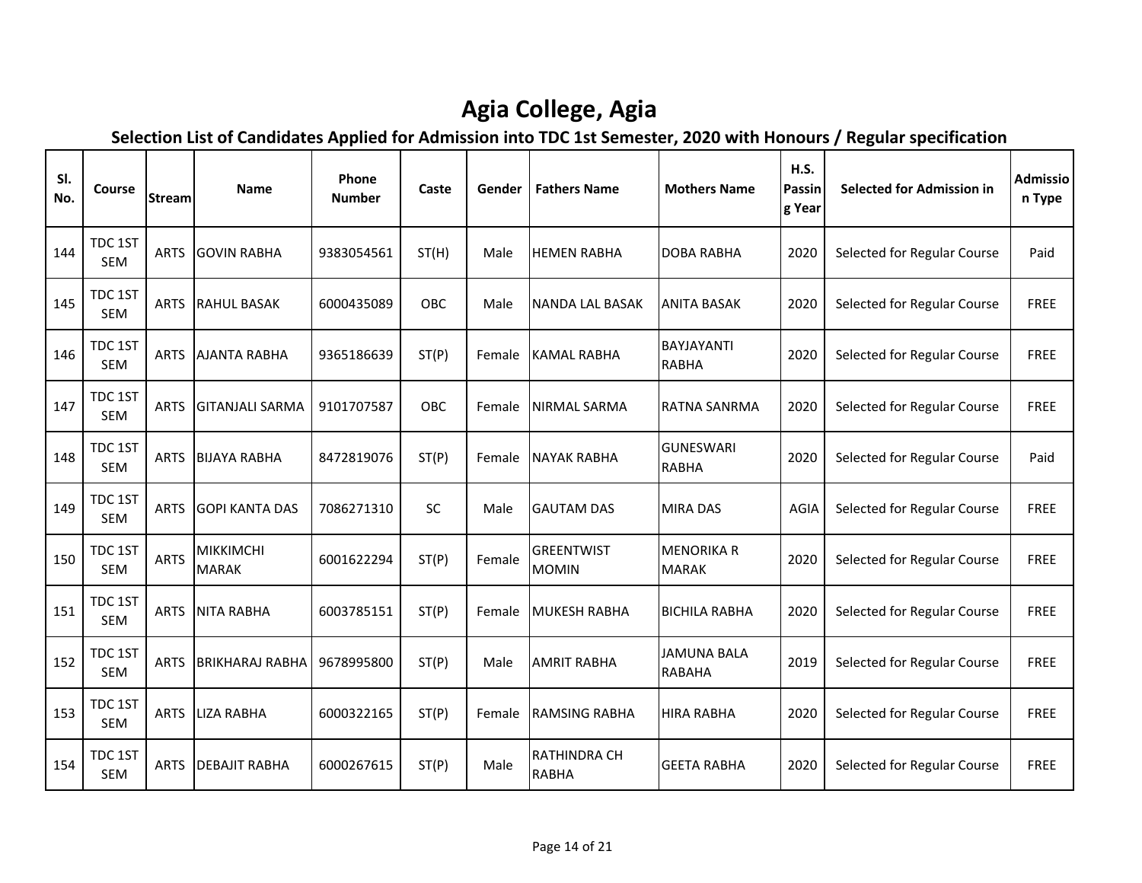| SI.<br>No. | Course                | <b>Stream</b> | <b>Name</b>                      | Phone<br><b>Number</b> | Caste      | Gender | <b>Fathers Name</b>               | <b>Mothers Name</b>                 | <b>H.S.</b><br><b>Passin</b><br>g Year | <b>Selected for Admission in</b> | <b>Admissio</b><br>n Type |
|------------|-----------------------|---------------|----------------------------------|------------------------|------------|--------|-----------------------------------|-------------------------------------|----------------------------------------|----------------------------------|---------------------------|
| 144        | TDC 1ST<br><b>SEM</b> | <b>ARTS</b>   | <b>GOVIN RABHA</b>               | 9383054561             | ST(H)      | Male   | <b>HEMEN RABHA</b>                | <b>DOBA RABHA</b>                   | 2020                                   | Selected for Regular Course      | Paid                      |
| 145        | TDC 1ST<br>SEM        | <b>ARTS</b>   | <b>RAHUL BASAK</b>               | 6000435089             | OBC        | Male   | <b>NANDA LAL BASAK</b>            | <b>ANITA BASAK</b>                  | 2020                                   | Selected for Regular Course      | <b>FREE</b>               |
| 146        | TDC 1ST<br><b>SEM</b> | <b>ARTS</b>   | <b>AJANTA RABHA</b>              | 9365186639             | ST(P)      | Female | <b>KAMAL RABHA</b>                | <b>BAYJAYANTI</b><br><b>RABHA</b>   | 2020                                   | Selected for Regular Course      | <b>FREE</b>               |
| 147        | TDC 1ST<br><b>SEM</b> | <b>ARTS</b>   | <b>GITANJALI SARMA</b>           | 9101707587             | <b>OBC</b> | Female | NIRMAL SARMA                      | <b>RATNA SANRMA</b>                 | 2020                                   | Selected for Regular Course      | <b>FREE</b>               |
| 148        | TDC 1ST<br><b>SEM</b> | <b>ARTS</b>   | <b>BIJAYA RABHA</b>              | 8472819076             | ST(P)      | Female | <b>NAYAK RABHA</b>                | <b>GUNESWARI</b><br><b>RABHA</b>    | 2020                                   | Selected for Regular Course      | Paid                      |
| 149        | TDC 1ST<br><b>SEM</b> | <b>ARTS</b>   | <b>GOPI KANTA DAS</b>            | 7086271310             | SC         | Male   | <b>GAUTAM DAS</b>                 | <b>MIRA DAS</b>                     | <b>AGIA</b>                            | Selected for Regular Course      | <b>FREE</b>               |
| 150        | TDC 1ST<br>SEM        | <b>ARTS</b>   | <b>MIKKIMCHI</b><br><b>MARAK</b> | 6001622294             | ST(P)      | Female | <b>GREENTWIST</b><br><b>MOMIN</b> | <b>MENORIKA R</b><br><b>MARAK</b>   | 2020                                   | Selected for Regular Course      | <b>FREE</b>               |
| 151        | TDC 1ST<br><b>SEM</b> | <b>ARTS</b>   | <b>NITA RABHA</b>                | 6003785151             | ST(P)      | Female | <b>MUKESH RABHA</b>               | <b>BICHILA RABHA</b>                | 2020                                   | Selected for Regular Course      | <b>FREE</b>               |
| 152        | TDC 1ST<br>SEM        | <b>ARTS</b>   | <b>BRIKHARAJ RABHA</b>           | 9678995800             | ST(P)      | Male   | <b>AMRIT RABHA</b>                | <b>JAMUNA BALA</b><br><b>RABAHA</b> | 2019                                   | Selected for Regular Course      | <b>FREE</b>               |
| 153        | TDC 1ST<br><b>SEM</b> | <b>ARTS</b>   | <b>LIZA RABHA</b>                | 6000322165             | ST(P)      | Female | <b>RAMSING RABHA</b>              | <b>HIRA RABHA</b>                   | 2020                                   | Selected for Regular Course      | <b>FREE</b>               |
| 154        | TDC 1ST<br><b>SEM</b> | <b>ARTS</b>   | <b>DEBAJIT RABHA</b>             | 6000267615             | ST(P)      | Male   | RATHINDRA CH<br><b>RABHA</b>      | <b>GEETA RABHA</b>                  | 2020                                   | Selected for Regular Course      | <b>FREE</b>               |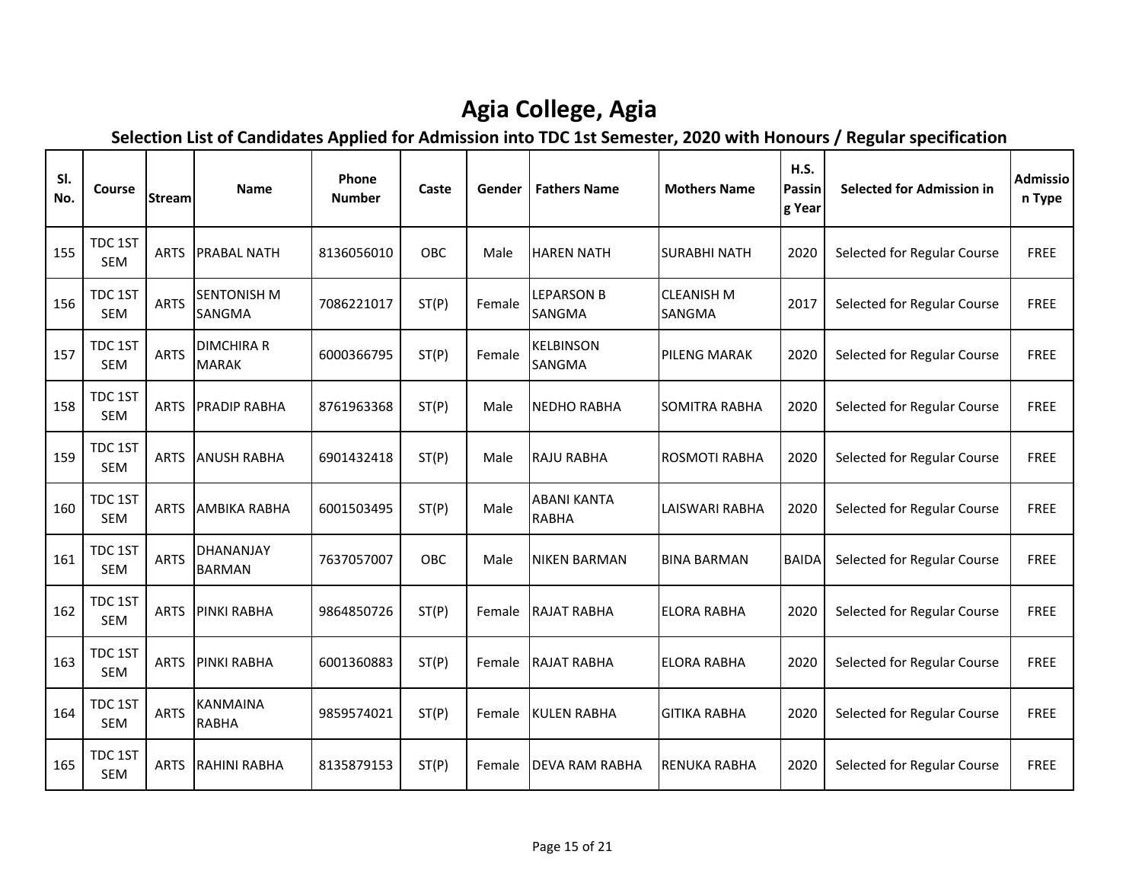| SI.<br>No. | Course                | <b>Stream</b> | <b>Name</b>                       | Phone<br><b>Number</b> | Caste      | Gender | <b>Fathers Name</b>                | <b>Mothers Name</b>         | <b>H.S.</b><br><b>Passin</b><br>g Year | <b>Selected for Admission in</b> | <b>Admissio</b><br>n Type |
|------------|-----------------------|---------------|-----------------------------------|------------------------|------------|--------|------------------------------------|-----------------------------|----------------------------------------|----------------------------------|---------------------------|
| 155        | TDC 1ST<br><b>SEM</b> | <b>ARTS</b>   | <b>PRABAL NATH</b>                | 8136056010             | <b>OBC</b> | Male   | <b>HAREN NATH</b>                  | <b>SURABHI NATH</b>         | 2020                                   | Selected for Regular Course      | <b>FREE</b>               |
| 156        | TDC 1ST<br><b>SEM</b> | <b>ARTS</b>   | <b>SENTONISH M</b><br>SANGMA      | 7086221017             | ST(P)      | Female | <b>LEPARSON B</b><br>SANGMA        | <b>CLEANISH M</b><br>SANGMA | 2017                                   | Selected for Regular Course      | <b>FREE</b>               |
| 157        | TDC 1ST<br><b>SEM</b> | <b>ARTS</b>   | <b>DIMCHIRA R</b><br><b>MARAK</b> | 6000366795             | ST(P)      | Female | <b>KELBINSON</b><br>SANGMA         | <b>PILENG MARAK</b>         | 2020                                   | Selected for Regular Course      | <b>FREE</b>               |
| 158        | TDC 1ST<br><b>SEM</b> | <b>ARTS</b>   | <b>PRADIP RABHA</b>               | 8761963368             | ST(P)      | Male   | <b>NEDHO RABHA</b>                 | <b>SOMITRA RABHA</b>        | 2020                                   | Selected for Regular Course      | <b>FREE</b>               |
| 159        | TDC 1ST<br><b>SEM</b> | <b>ARTS</b>   | <b>ANUSH RABHA</b>                | 6901432418             | ST(P)      | Male   | <b>RAJU RABHA</b>                  | <b>ROSMOTI RABHA</b>        | 2020                                   | Selected for Regular Course      | <b>FREE</b>               |
| 160        | TDC 1ST<br><b>SEM</b> | <b>ARTS</b>   | <b>AMBIKA RABHA</b>               | 6001503495             | ST(P)      | Male   | <b>ABANI KANTA</b><br><b>RABHA</b> | LAISWARI RABHA              | 2020                                   | Selected for Regular Course      | <b>FREE</b>               |
| 161        | TDC 1ST<br>SEM        | <b>ARTS</b>   | DHANANJAY<br><b>BARMAN</b>        | 7637057007             | <b>OBC</b> | Male   | <b>NIKEN BARMAN</b>                | <b>BINA BARMAN</b>          | <b>BAIDA</b>                           | Selected for Regular Course      | <b>FREE</b>               |
| 162        | TDC 1ST<br><b>SEM</b> | <b>ARTS</b>   | <b>PINKI RABHA</b>                | 9864850726             | ST(P)      | Female | <b>RAJAT RABHA</b>                 | <b>ELORA RABHA</b>          | 2020                                   | Selected for Regular Course      | <b>FREE</b>               |
| 163        | TDC 1ST<br><b>SEM</b> | <b>ARTS</b>   | <b>PINKI RABHA</b>                | 6001360883             | ST(P)      | Female | <b>RAJAT RABHA</b>                 | <b>ELORA RABHA</b>          | 2020                                   | Selected for Regular Course      | <b>FREE</b>               |
| 164        | TDC 1ST<br><b>SEM</b> | <b>ARTS</b>   | <b>KANMAINA</b><br><b>RABHA</b>   | 9859574021             | ST(P)      | Female | <b>KULEN RABHA</b>                 | <b>GITIKA RABHA</b>         | 2020                                   | Selected for Regular Course      | <b>FREE</b>               |
| 165        | TDC 1ST<br><b>SEM</b> | <b>ARTS</b>   | <b>RAHINI RABHA</b>               | 8135879153             | ST(P)      | Female | <b>DEVA RAM RABHA</b>              | <b>RENUKA RABHA</b>         | 2020                                   | Selected for Regular Course      | <b>FREE</b>               |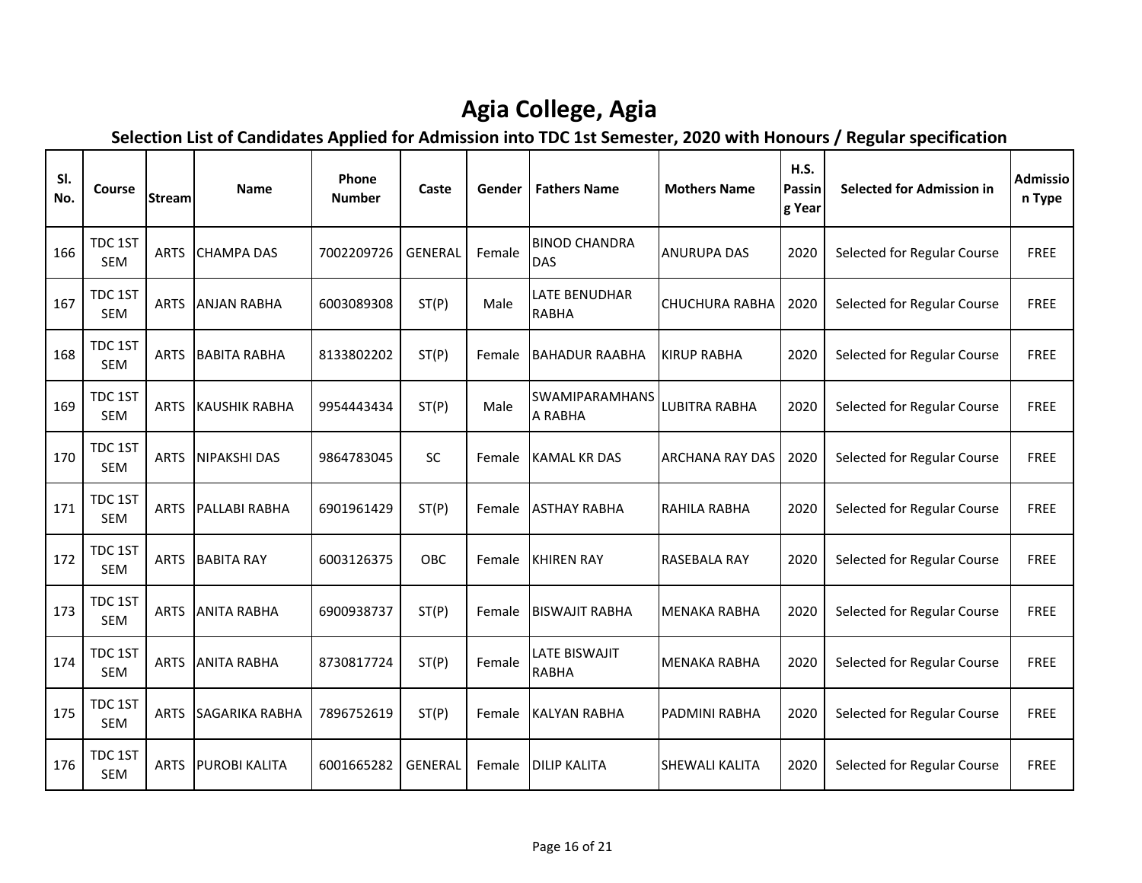| SI.<br>No. | Course                | <b>Stream</b> | <b>Name</b>           | <b>Phone</b><br><b>Number</b> | Caste     | Gender | <b>Fathers Name</b>              | <b>Mothers Name</b>    | <b>H.S.</b><br>Passin<br>g Year | <b>Selected for Admission in</b> | <b>Admissio</b><br>n Type |
|------------|-----------------------|---------------|-----------------------|-------------------------------|-----------|--------|----------------------------------|------------------------|---------------------------------|----------------------------------|---------------------------|
| 166        | TDC 1ST<br><b>SEM</b> | <b>ARTS</b>   | <b>CHAMPA DAS</b>     | 7002209726                    | GENERAL   | Female | <b>BINOD CHANDRA</b><br>DAS      | <b>ANURUPA DAS</b>     | 2020                            | Selected for Regular Course      | <b>FREE</b>               |
| 167        | TDC 1ST<br><b>SEM</b> | <b>ARTS</b>   | <b>ANJAN RABHA</b>    | 6003089308                    | ST(P)     | Male   | LATE BENUDHAR<br><b>RABHA</b>    | <b>CHUCHURA RABHA</b>  | 2020                            | Selected for Regular Course      | <b>FREE</b>               |
| 168        | TDC 1ST<br><b>SEM</b> | <b>ARTS</b>   | <b>BABITA RABHA</b>   | 8133802202                    | ST(P)     | Female | <b>BAHADUR RAABHA</b>            | <b>KIRUP RABHA</b>     | 2020                            | Selected for Regular Course      | <b>FREE</b>               |
| 169        | TDC 1ST<br><b>SEM</b> | <b>ARTS</b>   | <b>KAUSHIK RABHA</b>  | 9954443434                    | ST(P)     | Male   | <b>SWAMIPARAMHANS</b><br>A RABHA | <b>LUBITRA RABHA</b>   | 2020                            | Selected for Regular Course      | <b>FREE</b>               |
| 170        | TDC 1ST<br><b>SEM</b> | <b>ARTS</b>   | <b>NIPAKSHI DAS</b>   | 9864783045                    | <b>SC</b> | Female | <b>KAMAL KR DAS</b>              | <b>ARCHANA RAY DAS</b> | 2020                            | Selected for Regular Course      | <b>FREE</b>               |
| 171        | TDC 1ST<br><b>SEM</b> | <b>ARTS</b>   | PALLABI RABHA         | 6901961429                    | ST(P)     | Female | <b>ASTHAY RABHA</b>              | RAHILA RABHA           | 2020                            | Selected for Regular Course      | <b>FREE</b>               |
| 172        | TDC 1ST<br><b>SEM</b> | <b>ARTS</b>   | <b>BABITA RAY</b>     | 6003126375                    | OBC       | Female | <b>KHIREN RAY</b>                | <b>RASEBALA RAY</b>    | 2020                            | Selected for Regular Course      | <b>FREE</b>               |
| 173        | TDC 1ST<br><b>SEM</b> | <b>ARTS</b>   | <b>ANITA RABHA</b>    | 6900938737                    | ST(P)     | Female | <b>BISWAJIT RABHA</b>            | <b>MENAKA RABHA</b>    | 2020                            | Selected for Regular Course      | <b>FREE</b>               |
| 174        | TDC 1ST<br><b>SEM</b> | <b>ARTS</b>   | <b>ANITA RABHA</b>    | 8730817724                    | ST(P)     | Female | LATE BISWAJIT<br><b>RABHA</b>    | <b>MENAKA RABHA</b>    | 2020                            | Selected for Regular Course      | <b>FREE</b>               |
| 175        | TDC 1ST<br><b>SEM</b> | <b>ARTS</b>   | <b>SAGARIKA RABHA</b> | 7896752619                    | ST(P)     | Female | <b>KALYAN RABHA</b>              | <b>PADMINI RABHA</b>   | 2020                            | Selected for Regular Course      | <b>FREE</b>               |
| 176        | TDC 1ST<br><b>SEM</b> | <b>ARTS</b>   | <b>PUROBI KALITA</b>  | 6001665282                    | GENERAL   | Female | <b>DILIP KALITA</b>              | <b>SHEWALI KALITA</b>  | 2020                            | Selected for Regular Course      | <b>FREE</b>               |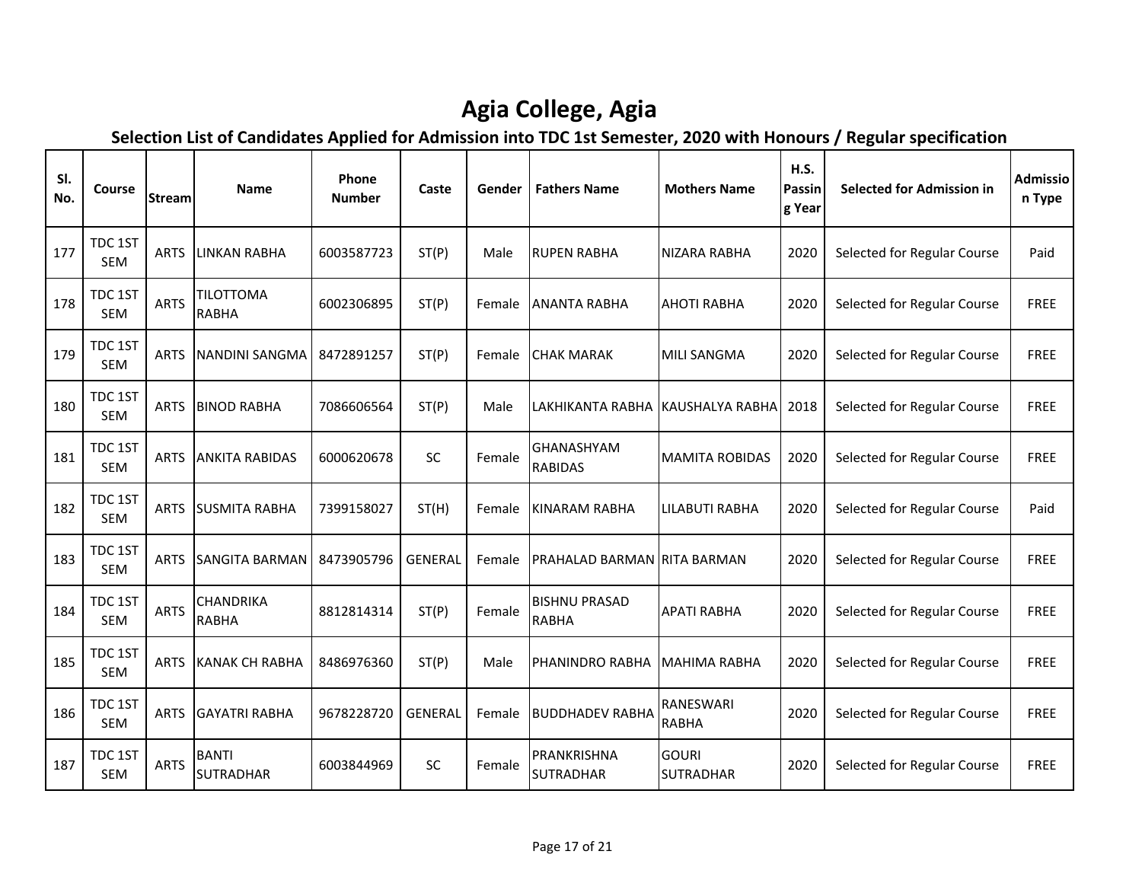| SI.<br>No. | Course                | Stream      | <b>Name</b>                      | Phone<br><b>Number</b> | Caste          | Gender | <b>Fathers Name</b>                  | <b>Mothers Name</b>              | <b>H.S.</b><br>Passin<br>g Year | <b>Selected for Admission in</b> | <b>Admissio</b><br>n Type |
|------------|-----------------------|-------------|----------------------------------|------------------------|----------------|--------|--------------------------------------|----------------------------------|---------------------------------|----------------------------------|---------------------------|
| 177        | TDC 1ST<br>SEM        | <b>ARTS</b> | <b>LINKAN RABHA</b>              | 6003587723             | ST(P)          | Male   | <b>RUPEN RABHA</b>                   | NIZARA RABHA                     | 2020                            | Selected for Regular Course      | Paid                      |
| 178        | TDC 1ST<br><b>SEM</b> | <b>ARTS</b> | <b>TILOTTOMA</b><br><b>RABHA</b> | 6002306895             | ST(P)          | Female | <b>ANANTA RABHA</b>                  | <b>AHOTI RABHA</b>               | 2020                            | Selected for Regular Course      | <b>FREE</b>               |
| 179        | TDC 1ST<br><b>SEM</b> | <b>ARTS</b> | <b>NANDINI SANGMA</b>            | 8472891257             | ST(P)          | Female | <b>CHAK MARAK</b>                    | <b>MILI SANGMA</b>               | 2020                            | Selected for Regular Course      | <b>FREE</b>               |
| 180        | TDC 1ST<br>SEM        | <b>ARTS</b> | <b>BINOD RABHA</b>               | 7086606564             | ST(P)          | Male   | LAKHIKANTA RABHA KAUSHALYA RABHA     |                                  | 2018                            | Selected for Regular Course      | <b>FREE</b>               |
| 181        | TDC 1ST<br><b>SEM</b> | <b>ARTS</b> | <b>ANKITA RABIDAS</b>            | 6000620678             | <b>SC</b>      | Female | GHANASHYAM<br><b>RABIDAS</b>         | <b>MAMITA ROBIDAS</b>            | 2020                            | Selected for Regular Course      | <b>FREE</b>               |
| 182        | TDC 1ST<br><b>SEM</b> | <b>ARTS</b> | <b>SUSMITA RABHA</b>             | 7399158027             | ST(H)          | Female | KINARAM RABHA                        | LILABUTI RABHA                   | 2020                            | Selected for Regular Course      | Paid                      |
| 183        | TDC 1ST<br><b>SEM</b> | <b>ARTS</b> | <b>SANGITA BARMAN</b>            | 8473905796             | <b>GENERAL</b> | Female | PRAHALAD BARMAN RITA BARMAN          |                                  | 2020                            | Selected for Regular Course      | <b>FREE</b>               |
| 184        | TDC 1ST<br>SEM        | <b>ARTS</b> | CHANDRIKA<br><b>RABHA</b>        | 8812814314             | ST(P)          | Female | <b>BISHNU PRASAD</b><br><b>RABHA</b> | <b>APATI RABHA</b>               | 2020                            | Selected for Regular Course      | <b>FREE</b>               |
| 185        | TDC 1ST<br><b>SEM</b> | <b>ARTS</b> | <b>KANAK CH RABHA</b>            | 8486976360             | ST(P)          | Male   | PHANINDRO RABHA                      | MAHIMA RABHA                     | 2020                            | Selected for Regular Course      | <b>FREE</b>               |
| 186        | TDC 1ST<br><b>SEM</b> | <b>ARTS</b> | <b>GAYATRI RABHA</b>             | 9678228720             | <b>GENERAL</b> | Female | <b>BUDDHADEV RABHA</b>               | <b>RANESWARI</b><br><b>RABHA</b> | 2020                            | Selected for Regular Course      | <b>FREE</b>               |
| 187        | TDC 1ST<br><b>SEM</b> | <b>ARTS</b> | <b>BANTI</b><br><b>SUTRADHAR</b> | 6003844969             | SC             | Female | PRANKRISHNA<br><b>SUTRADHAR</b>      | <b>GOURI</b><br><b>SUTRADHAR</b> | 2020                            | Selected for Regular Course      | <b>FREE</b>               |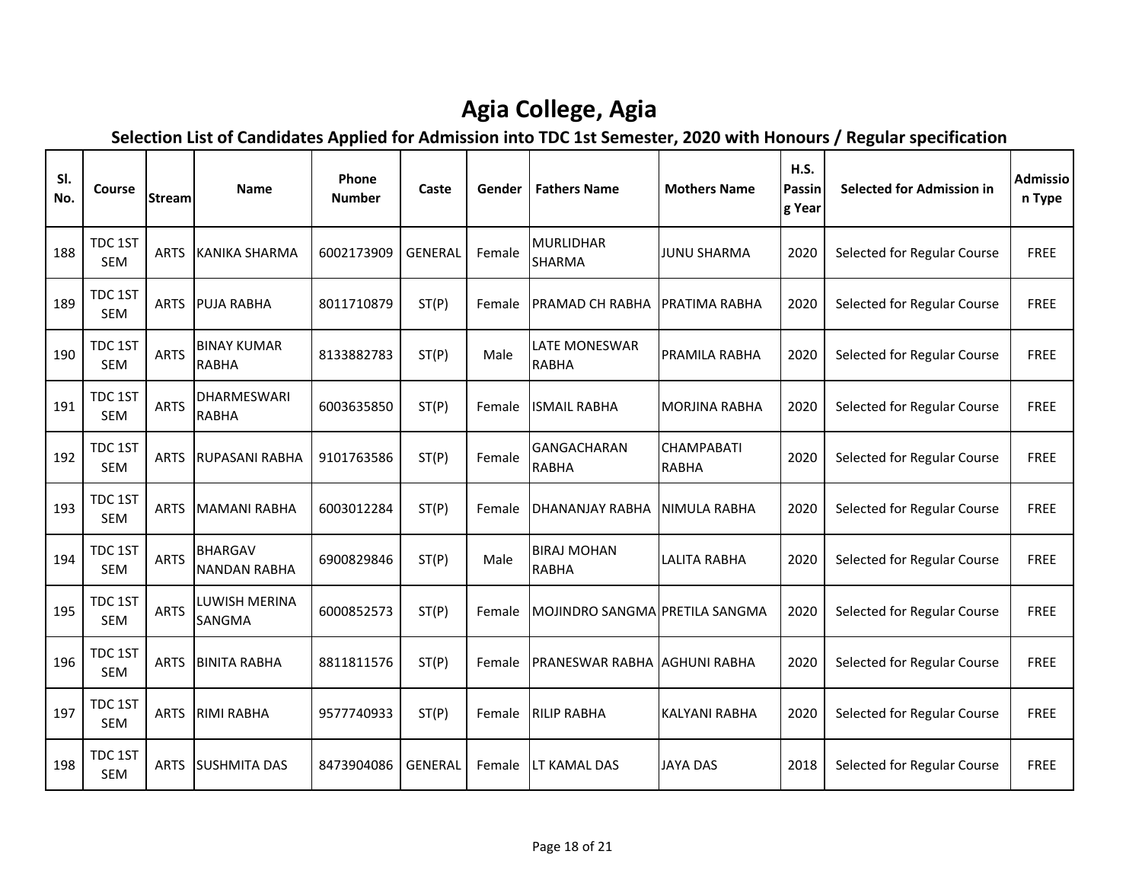| SI.<br>No. | Course                | <b>Stream</b> | <b>Name</b>                           | Phone<br><b>Number</b> | Caste   | Gender | <b>Fathers Name</b>                  | <b>Mothers Name</b>               | <b>H.S.</b><br>Passin<br>g Year | <b>Selected for Admission in</b> | <b>Admissio</b><br>n Type |
|------------|-----------------------|---------------|---------------------------------------|------------------------|---------|--------|--------------------------------------|-----------------------------------|---------------------------------|----------------------------------|---------------------------|
| 188        | TDC 1ST<br><b>SEM</b> | <b>ARTS</b>   | <b>KANIKA SHARMA</b>                  | 6002173909             | GENERAL | Female | <b>MURLIDHAR</b><br><b>SHARMA</b>    | <b>JUNU SHARMA</b>                | 2020                            | Selected for Regular Course      | <b>FREE</b>               |
| 189        | TDC 1ST<br><b>SEM</b> | <b>ARTS</b>   | <b>PUJA RABHA</b>                     | 8011710879             | ST(P)   | Female | <b>PRAMAD CH RABHA</b>               | IPRATIMA RABHA                    | 2020                            | Selected for Regular Course      | <b>FREE</b>               |
| 190        | TDC 1ST<br><b>SEM</b> | <b>ARTS</b>   | <b>BINAY KUMAR</b><br><b>RABHA</b>    | 8133882783             | ST(P)   | Male   | <b>LATE MONESWAR</b><br><b>RABHA</b> | <b>PRAMILA RABHA</b>              | 2020                            | Selected for Regular Course      | <b>FREE</b>               |
| 191        | TDC 1ST<br><b>SEM</b> | <b>ARTS</b>   | <b>DHARMESWARI</b><br>RABHA           | 6003635850             | ST(P)   | Female | <b>ISMAIL RABHA</b>                  | <b>MORJINA RABHA</b>              | 2020                            | Selected for Regular Course      | <b>FREE</b>               |
| 192        | TDC 1ST<br><b>SEM</b> | <b>ARTS</b>   | <b>RUPASANI RABHA</b>                 | 9101763586             | ST(P)   | Female | GANGACHARAN<br><b>RABHA</b>          | <b>CHAMPABATI</b><br><b>RABHA</b> | 2020                            | Selected for Regular Course      | <b>FREE</b>               |
| 193        | TDC 1ST<br><b>SEM</b> | <b>ARTS</b>   | <b>MAMANI RABHA</b>                   | 6003012284             | ST(P)   | Female | DHANANJAY RABHA                      | NIMULA RABHA                      | 2020                            | Selected for Regular Course      | <b>FREE</b>               |
| 194        | TDC 1ST<br><b>SEM</b> | <b>ARTS</b>   | <b>BHARGAV</b><br><b>NANDAN RABHA</b> | 6900829846             | ST(P)   | Male   | <b>BIRAJ MOHAN</b><br><b>RABHA</b>   | <b>LALITA RABHA</b>               | 2020                            | Selected for Regular Course      | <b>FREE</b>               |
| 195        | TDC 1ST<br><b>SEM</b> | <b>ARTS</b>   | LUWISH MERINA<br>SANGMA               | 6000852573             | ST(P)   | Female | MOJINDRO SANGMA PRETILA SANGMA       |                                   | 2020                            | Selected for Regular Course      | <b>FREE</b>               |
| 196        | TDC 1ST<br><b>SEM</b> | <b>ARTS</b>   | <b>BINITA RABHA</b>                   | 8811811576             | ST(P)   | Female | PRANESWAR RABHA AGHUNI RABHA         |                                   | 2020                            | Selected for Regular Course      | <b>FREE</b>               |
| 197        | TDC 1ST<br><b>SEM</b> | <b>ARTS</b>   | <b>RIMI RABHA</b>                     | 9577740933             | ST(P)   | Female | <b>RILIP RABHA</b>                   | KALYANI RABHA                     | 2020                            | Selected for Regular Course      | <b>FREE</b>               |
| 198        | TDC 1ST<br><b>SEM</b> | <b>ARTS</b>   | <b>SUSHMITA DAS</b>                   | 8473904086             | GENERAL | Female | LT KAMAL DAS                         | <b>JAYA DAS</b>                   | 2018                            | Selected for Regular Course      | <b>FREE</b>               |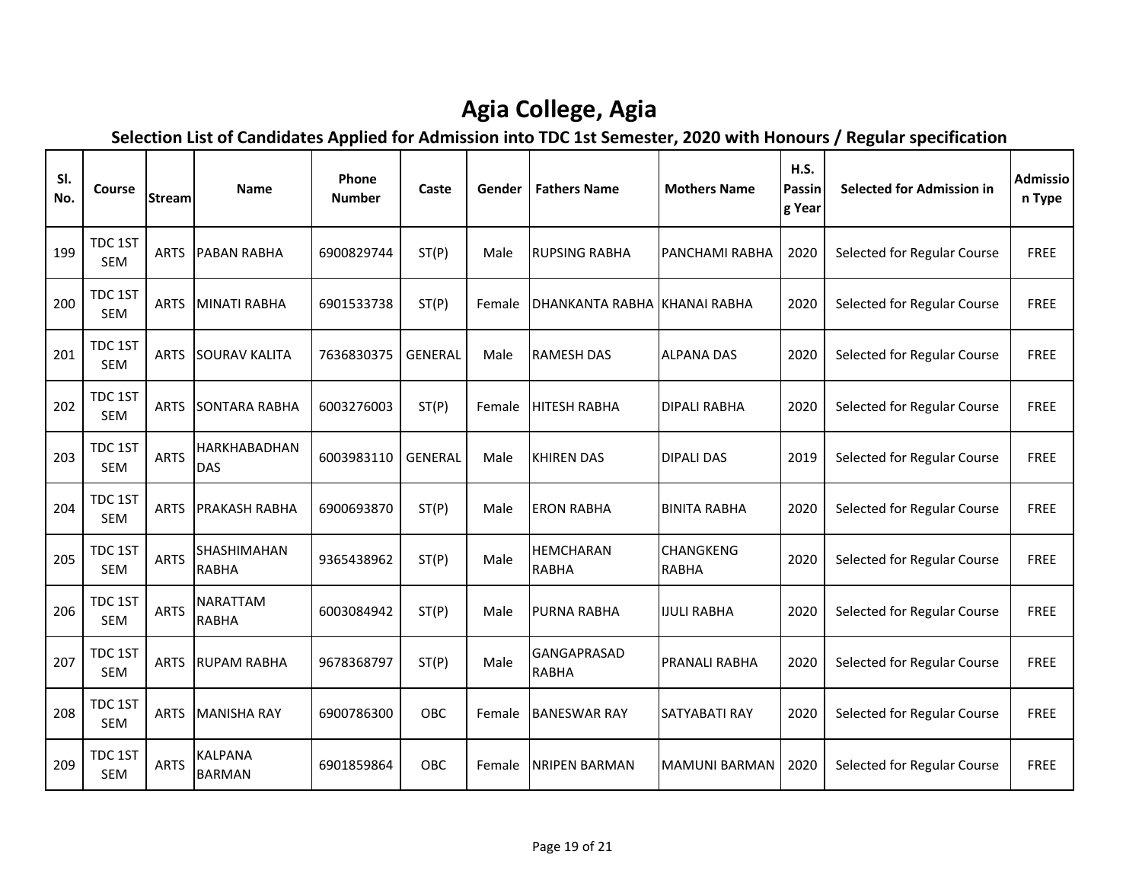| SI.<br>No. | Course                | <b>Stream</b> | <b>Name</b>                        | Phone<br><b>Number</b> | Caste          | Gender | <b>Fathers Name</b>                | <b>Mothers Name</b>              | <b>H.S.</b><br><b>Passin</b><br>g Year | <b>Selected for Admission in</b> | <b>Admissio</b><br>n Type |
|------------|-----------------------|---------------|------------------------------------|------------------------|----------------|--------|------------------------------------|----------------------------------|----------------------------------------|----------------------------------|---------------------------|
| 199        | TDC 1ST<br><b>SEM</b> | <b>ARTS</b>   | <b>PABAN RABHA</b>                 | 6900829744             | ST(P)          | Male   | <b>RUPSING RABHA</b>               | PANCHAMI RABHA                   | 2020                                   | Selected for Regular Course      | <b>FREE</b>               |
| 200        | TDC 1ST<br><b>SEM</b> | <b>ARTS</b>   | <b>MINATI RABHA</b>                | 6901533738             | ST(P)          | Female | DHANKANTA RABHA KHANAI RABHA       |                                  | 2020                                   | Selected for Regular Course      | <b>FREE</b>               |
| 201        | TDC 1ST<br><b>SEM</b> | <b>ARTS</b>   | <b>SOURAV KALITA</b>               | 7636830375             | <b>GENERAL</b> | Male   | <b>RAMESH DAS</b>                  | <b>ALPANA DAS</b>                | 2020                                   | Selected for Regular Course      | <b>FREE</b>               |
| 202        | TDC 1ST<br><b>SEM</b> | <b>ARTS</b>   | <b>SONTARA RABHA</b>               | 6003276003             | ST(P)          | Female | <b>HITESH RABHA</b>                | <b>DIPALI RABHA</b>              | 2020                                   | Selected for Regular Course      | <b>FREE</b>               |
| 203        | TDC 1ST<br><b>SEM</b> | <b>ARTS</b>   | HARKHABADHAN<br><b>DAS</b>         | 6003983110             | <b>GENERAL</b> | Male   | <b>KHIREN DAS</b>                  | <b>DIPALI DAS</b>                | 2019                                   | Selected for Regular Course      | <b>FREE</b>               |
| 204        | TDC 1ST<br><b>SEM</b> | <b>ARTS</b>   | <b>PRAKASH RABHA</b>               | 6900693870             | ST(P)          | Male   | <b>ERON RABHA</b>                  | <b>BINITA RABHA</b>              | 2020                                   | Selected for Regular Course      | <b>FREE</b>               |
| 205        | TDC 1ST<br><b>SEM</b> | <b>ARTS</b>   | <b>SHASHIMAHAN</b><br><b>RABHA</b> | 9365438962             | ST(P)          | Male   | <b>HEMCHARAN</b><br><b>RABHA</b>   | <b>CHANGKENG</b><br><b>RABHA</b> | 2020                                   | Selected for Regular Course      | <b>FREE</b>               |
| 206        | TDC 1ST<br>SEM        | <b>ARTS</b>   | <b>NARATTAM</b><br><b>RABHA</b>    | 6003084942             | ST(P)          | Male   | PURNA RABHA                        | <b>IJULI RABHA</b>               | 2020                                   | Selected for Regular Course      | <b>FREE</b>               |
| 207        | TDC 1ST<br><b>SEM</b> | <b>ARTS</b>   | <b>RUPAM RABHA</b>                 | 9678368797             | ST(P)          | Male   | <b>GANGAPRASAD</b><br><b>RABHA</b> | PRANALI RABHA                    | 2020                                   | Selected for Regular Course      | <b>FREE</b>               |
| 208        | TDC 1ST<br><b>SEM</b> | <b>ARTS</b>   | <b>MANISHA RAY</b>                 | 6900786300             | OBC            | Female | <b>BANESWAR RAY</b>                | <b>SATYABATI RAY</b>             | 2020                                   | Selected for Regular Course      | <b>FREE</b>               |
| 209        | TDC 1ST<br>SEM        | <b>ARTS</b>   | <b>KALPANA</b><br><b>BARMAN</b>    | 6901859864             | OBC            | Female | <b>NRIPEN BARMAN</b>               | <b>MAMUNI BARMAN</b>             | 2020                                   | Selected for Regular Course      | <b>FREE</b>               |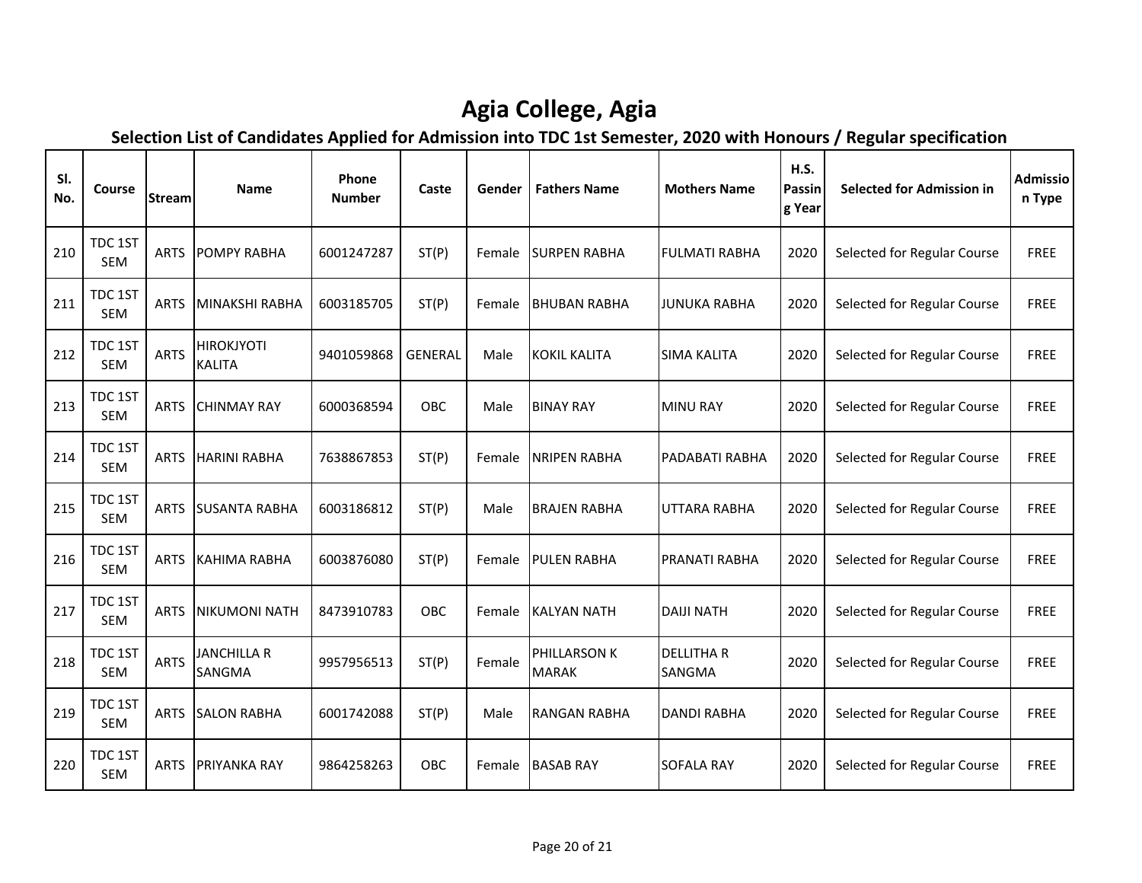| SI.<br>No. | Course                | <b>Stream</b> | <b>Name</b>                        | Phone<br><b>Number</b> | Caste          | Gender | <b>Fathers Name</b>          | <b>Mothers Name</b>        | <b>H.S.</b><br><b>Passin</b><br>g Year | <b>Selected for Admission in</b> | <b>Admissio</b><br>n Type |
|------------|-----------------------|---------------|------------------------------------|------------------------|----------------|--------|------------------------------|----------------------------|----------------------------------------|----------------------------------|---------------------------|
| 210        | TDC 1ST<br><b>SEM</b> | <b>ARTS</b>   | <b>POMPY RABHA</b>                 | 6001247287             | ST(P)          | Female | <b>SURPEN RABHA</b>          | <b>FULMATI RABHA</b>       | 2020                                   | Selected for Regular Course      | <b>FREE</b>               |
| 211        | TDC 1ST<br>SEM        | <b>ARTS</b>   | MINAKSHI RABHA                     | 6003185705             | ST(P)          | Female | <b>BHUBAN RABHA</b>          | JUNUKA RABHA               | 2020                                   | Selected for Regular Course      | <b>FREE</b>               |
| 212        | TDC 1ST<br><b>SEM</b> | <b>ARTS</b>   | <b>HIROKJYOTI</b><br><b>KALITA</b> | 9401059868             | <b>GENERAL</b> | Male   | <b>KOKIL KALITA</b>          | SIMA KALITA                | 2020                                   | Selected for Regular Course      | <b>FREE</b>               |
| 213        | TDC 1ST<br><b>SEM</b> | <b>ARTS</b>   | <b>CHINMAY RAY</b>                 | 6000368594             | <b>OBC</b>     | Male   | <b>BINAY RAY</b>             | <b>MINU RAY</b>            | 2020                                   | Selected for Regular Course      | <b>FREE</b>               |
| 214        | TDC 1ST<br><b>SEM</b> | <b>ARTS</b>   | <b>HARINI RABHA</b>                | 7638867853             | ST(P)          | Female | <b>NRIPEN RABHA</b>          | <b>PADABATI RABHA</b>      | 2020                                   | Selected for Regular Course      | <b>FREE</b>               |
| 215        | TDC 1ST<br><b>SEM</b> | <b>ARTS</b>   | <b>SUSANTA RABHA</b>               | 6003186812             | ST(P)          | Male   | <b>BRAJEN RABHA</b>          | <b>UTTARA RABHA</b>        | 2020                                   | Selected for Regular Course      | <b>FREE</b>               |
| 216        | TDC 1ST<br>SEM        | <b>ARTS</b>   | <b>KAHIMA RABHA</b>                | 6003876080             | ST(P)          | Female | <b>PULEN RABHA</b>           | <b>PRANATI RABHA</b>       | 2020                                   | Selected for Regular Course      | <b>FREE</b>               |
| 217        | TDC 1ST<br><b>SEM</b> | <b>ARTS</b>   | <b>NIKUMONI NATH</b>               | 8473910783             | OBC            | Female | <b>KALYAN NATH</b>           | <b>DAIJI NATH</b>          | 2020                                   | Selected for Regular Course      | <b>FREE</b>               |
| 218        | TDC 1ST<br><b>SEM</b> | <b>ARTS</b>   | <b>JANCHILLA R</b><br>SANGMA       | 9957956513             | ST(P)          | Female | PHILLARSON K<br><b>MARAK</b> | <b>DELLITHAR</b><br>SANGMA | 2020                                   | Selected for Regular Course      | <b>FREE</b>               |
| 219        | TDC 1ST<br><b>SEM</b> | <b>ARTS</b>   | <b>SALON RABHA</b>                 | 6001742088             | ST(P)          | Male   | <b>RANGAN RABHA</b>          | <b>DANDI RABHA</b>         | 2020                                   | Selected for Regular Course      | <b>FREE</b>               |
| 220        | TDC 1ST<br>SEM        | <b>ARTS</b>   | <b>PRIYANKA RAY</b>                | 9864258263             | <b>OBC</b>     | Female | <b>BASAB RAY</b>             | <b>SOFALA RAY</b>          | 2020                                   | Selected for Regular Course      | <b>FREE</b>               |